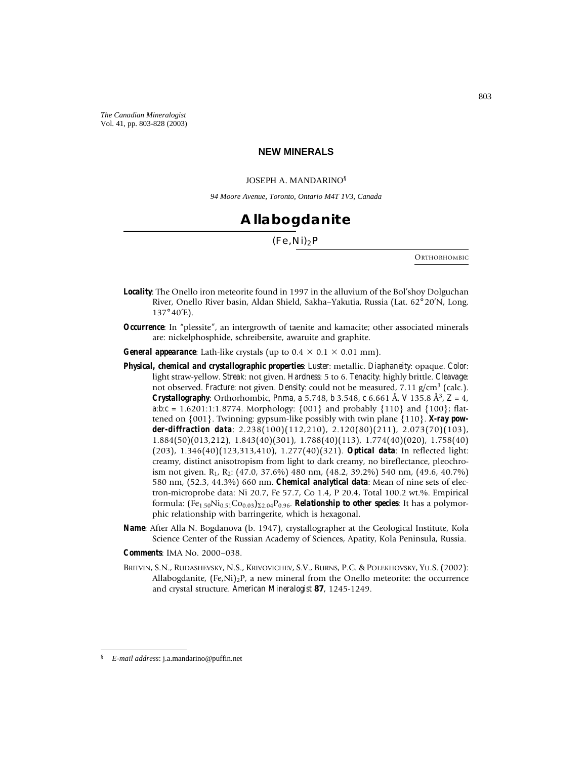#### **NEW MINERALS**

#### JOSEPH A. MANDARINO§

*94 Moore Avenue, Toronto, Ontario M4T 1V3, Canada*

## **Allabogdanite**

### $(Fe,Ni)<sub>2</sub>P$

**ORTHORHOMBIC** 

- *Locality*: The Onello iron meteorite found in 1997 in the alluvium of the Bol'shoy Dolguchan River, Onello River basin, Aldan Shield, Sakha–Yakutia, Russia (Lat. 62° 20'N, Long. 137° 40'E).
- *Occurrence*: In "plessite", an intergrowth of taenite and kamacite; other associated minerals are: nickelphosphide, schreibersite, awaruite and graphite.
- *General appearance*: Lath-like crystals (up to  $0.4 \times 0.1 \times 0.01$  mm).
- *Physical, chemical and crystallographic properties*: *Luster*: metallic. *Diaphaneity*: opaque. *Color*: light straw-yellow. *Streak*: not given. *Hardness*: 5 to 6. *Tenacity*: highly brittle. *Cleavage*: not observed. *Fracture*: not given. *Density*: could not be measured, 7.11 g/cm<sup>3</sup> (calc.). *Crystallography:* Orthorhombic, *Pnma*, *a* 5.748, *b* 3.548, *c* 6.661 Å, *V* 135.8 Å<sup>3</sup>,  $Z = 4$ , *a*: $b$ :*c* = 1.6201:1:1.8774. Morphology: {001} and probably {110} and {100}; flattened on {001}. Twinning: gypsum-like possibly with twin plane {110}. *X-ray powder-diffraction data*: 2.238(100)(112,210), 2.120(80)(211), 2.073(70)(103), 1.884(50)(013,212), 1.843(40)(301), 1.788(40)(113), 1.774(40)(020), 1.758(40) (203), 1.346(40)(123,313,410), 1.277(40)(321). *Optical data*: In reflected light: creamy, distinct anisotropism from light to dark creamy, no bireflectance, pleochroism not given.  $R_1$ ,  $R_2$ : (47.0, 37.6%) 480 nm, (48.2, 39.2%) 540 nm, (49.6, 40.7%) 580 nm, (52.3, 44.3%) 660 nm. *Chemical analytical data*: Mean of nine sets of electron-microprobe data: Ni 20.7, Fe 57.7, Co 1.4, P 20.4, Total 100.2 wt.%. Empirical formula:  $[Fe_{1.50}Ni_{0.51}Co_{0.03}]_{\Sigma2.04}P_{0.96}$ . **Relationship to other species**: It has a polymorphic relationship with barringerite, which is hexagonal.
- *Name*: After Alla N. Bogdanova (b. 1947), crystallographer at the Geological Institute, Kola Science Center of the Russian Academy of Sciences, Apatity, Kola Peninsula, Russia.

*Comments*: IMA No. 2000–038.

BRITVIN, S.N., RUDASHEVSKY, N.S., KRIVOVICHEV, S.V., BURNS, P.C. & POLEKHOVSKY, YU.S. (2002): Allabogdanite,  $(Fe, Ni)<sub>2</sub>P$ , a new mineral from the Onello meteorite: the occurrence and crystal structure. *American Mineralogist* **87**, 1245-1249.

<sup>§</sup> *E-mail address*: j.a.mandarino@puffin.net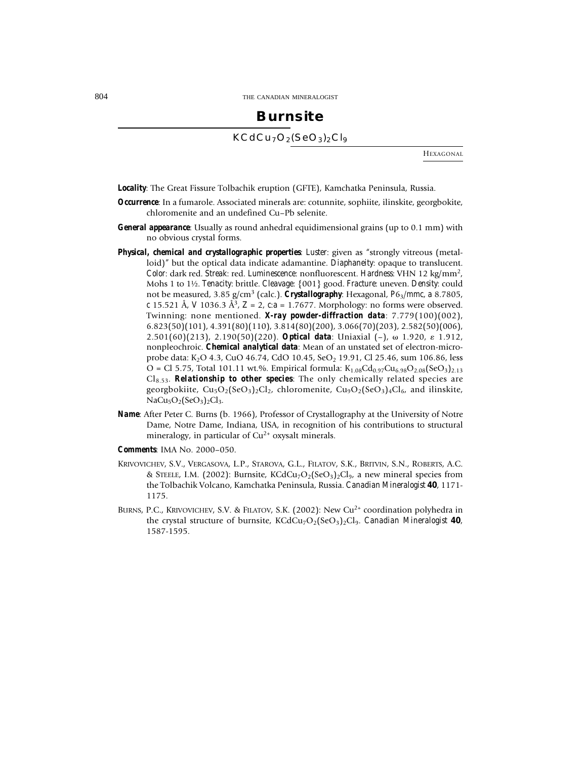## **Burnsite** KCdCu<sub>7</sub>O<sub>2</sub>(SeO<sub>3</sub>)<sub>2</sub>Cl<sub>9</sub>

HEXAGONAL

- *Locality*: The Great Fissure Tolbachik eruption (GFTE), Kamchatka Peninsula, Russia.
- *Occurrence*: In a fumarole. Associated minerals are: cotunnite, sophiite, ilinskite, georgbokite, chloromenite and an undefined Cu–Pb selenite.
- *General appearance*: Usually as round anhedral equidimensional grains (up to 0.1 mm) with no obvious crystal forms.
- *Physical, chemical and crystallographic properties*: *Luster*: given as "strongly vitreous (metalloid)" but the optical data indicate adamantine. *Diaphaneity*: opaque to translucent. *Color*: dark red. *Streak*: red. *Luminescence*: nonfluorescent. *Hardness*: VHN 12 kg/mm2, Mohs 1 to 1½. *Tenacity*: brittle. *Cleavage*: {001} good. *Fracture*: uneven. *Density*: could not be measured, 3.85 g/cm3 (calc.). *Crystallography*: Hexagonal, *P*63/*mmc*, *a* 8.7805, *c* 15.521 Å, *V* 1036.3 Å3, *Z* = 2, *c*:*a* = 1.7677. Morphology: no forms were observed. Twinning: none mentioned. *X-ray powder-diffraction data*: 7.779(100)(002), 6.823(50)(101), 4.391(80)(110), 3.814(80)(200), 3.066(70)(203), 2.582(50)(006), 2.501(60)(213), 2.190(50)(220). *Optical data*: Uniaxial (-),  $\omega$  1.920,  $\varepsilon$  1.912, nonpleochroic. *Chemical analytical data*: Mean of an unstated set of electron-microprobe data: K<sub>2</sub>O 4.3, CuO 46.74, CdO 10.45, SeO<sub>2</sub> 19.91, Cl 25.46, sum 106.86, less  $O = Cl 5.75$ , Total 101.11 wt.%. Empirical formula:  $K_{1.08}Cd_{0.97}Cu_{6.98}O_{2.08}(SeO<sub>3</sub>)_{2.13}$ Cl8.53. *Relationship to other species*: The only chemically related species are georgbokiite,  $Cu_5O_2(SeO_3)_2Cl_2$ , chloromenite,  $Cu_3O_2(SeO_3)_4Cl_6$ , and ilinskite,  $NaCu<sub>5</sub>O<sub>2</sub>(SeO<sub>3</sub>)<sub>2</sub>Cl<sub>3</sub>$ .
- *Name*: After Peter C. Burns (b. 1966), Professor of Crystallography at the University of Notre Dame, Notre Dame, Indiana, USA, in recognition of his contributions to structural mineralogy, in particular of  $Cu^{2+}$  oxysalt minerals.
- *Comments*: IMA No. 2000–050.
- KRIVOVICHEV, S.V., VERGASOVA, L.P., STAROVA, G.L., FILATOV, S.K., BRITVIN, S.N., ROBERTS, A.C. & STEELE, I.M. (2002): Burnsite,  $KCdCu<sub>7</sub>O<sub>2</sub>(SeO<sub>3</sub>)<sub>2</sub>Cl<sub>9</sub>$ , a new mineral species from the Tolbachik Volcano, Kamchatka Peninsula, Russia. *Canadian Mineralogist* **40**, 1171- 1175.
- BURNS, P.C., KRIVOVICHEV, S.V. & FILATOV, S.K. (2002): New Cu2+ coordination polyhedra in the crystal structure of burnsite,  $KCdCu<sub>7</sub>O<sub>2</sub>(SeO<sub>3</sub>)<sub>2</sub>Cl<sub>9</sub>$ . *Canadian Mineralogist* 40, 1587-1595.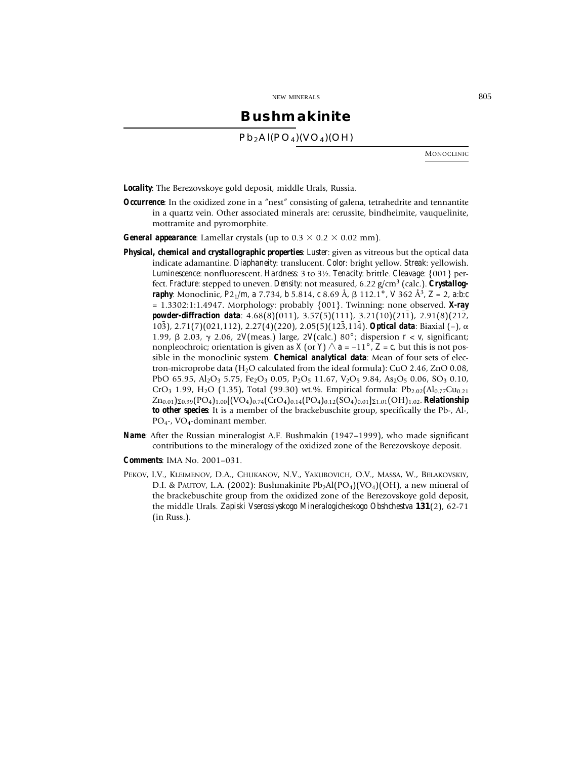### **Bushmakinite**

 $Pb<sub>2</sub>Al(PO<sub>4</sub>)(VO<sub>4</sub>)(OH)$ 

MONOCLINIC

*Locality*: The Berezovskoye gold deposit, middle Urals, Russia.

- *Occurrence*: In the oxidized zone in a "nest" consisting of galena, tetrahedrite and tennantite in a quartz vein. Other associated minerals are: cerussite, bindheimite, vauquelinite, mottramite and pyromorphite.
- *General appearance*: Lamellar crystals (up to  $0.3 \times 0.2 \times 0.02$  mm).
- *Physical, chemical and crystallographic properties*: *Luster*: given as vitreous but the optical data indicate adamantine. *Diaphaneity*: translucent. *Color*: bright yellow. *Streak*: yellowish. *Luminescence*: nonfluorescent. *Hardness*: 3 to 3½. *Tenacity*: brittle. *Cleavage*: {001} perfect. *Fracture*: stepped to uneven. *Density*: not measured, 6.22 g/cm3 (calc.). *Crystallography*: Monoclinic, *P*21/*m*, *a* 7.734, *b* 5.814, *c* 8.69 Å, 112.1° , *V* 362 Å3, *Z* = 2, *a*:*b*:*c* = 1.3302:1:1.4947. Morphology: probably {001}. Twinning: none observed. *X-ray* **powder-diffraction data**:  $4.68(8)(011)$ ,  $3.57(5)(111)$ ,  $3.21(10)(211)$ ,  $2.91(8)(212)$ , 103), 2.71(7)(021,112), 2.27(4)(220), 2.05(5)(123,114). **Optical data**: Biaxial (–),  $\alpha$ 1.99, 2.03, 2.06, 2*V*(meas.) large, 2*V*(calc.) 80° ; dispersion *r* < *v*, significant; nonpleochroic; orientation is given as *X* (or *Y*)  $\land$  *a* = –11°, *Z* = *c*, but this is not possible in the monoclinic system. *Chemical analytical data*: Mean of four sets of electron-microprobe data (H2O calculated from the ideal formula): CuO 2.46, ZnO 0.08, PbO 65.95, Al<sub>2</sub>O<sub>3</sub> 5.75, Fe<sub>2</sub>O<sub>3</sub> 0.05, P<sub>2</sub>O<sub>5</sub> 11.67, V<sub>2</sub>O<sub>5</sub> 9.84, As<sub>2</sub>O<sub>5</sub> 0.06, SO<sub>3</sub> 0.10, CrO<sub>3</sub> 1.99, H<sub>2</sub>O (1.35), Total (99.30) wt.%. Empirical formula: Pb<sub>2.02</sub>(Al<sub>0.77</sub>Cu<sub>0.21</sub>)  $Zn_{0.01}$ <sub>20.99</sub>(PO<sub>4</sub>)<sub>1.00</sub>[(VO<sub>4</sub>)<sub>0.74</sub>(CrO<sub>4</sub>)<sub>0.14</sub>(PO<sub>4</sub>)<sub>0.12</sub>(SO<sub>4</sub>)<sub>0.01</sub>]<sub>21.01</sub>(OH)<sub>1.02</sub>. *Relationship to other species*: It is a member of the brackebuschite group, specifically the Pb-, Al-, PO4-, VO4-dominant member.
- *Name*: After the Russian mineralogist A.F. Bushmakin (1947–1999), who made significant contributions to the mineralogy of the oxidized zone of the Berezovskoye deposit.
- *Comments*: IMA No. 2001–031.
- PEKOV, I.V., KLEIMENOV, D.A., CHUKANOV, N.V., YAKUBOVICH, O.V., MASSA, W., BELAKOVSKIY, D.I. & PAUTOV, L.A. (2002): Bushmakinite  $Pb_2Al(PO_4)(VO_4)(OH)$ , a new mineral of the brackebuschite group from the oxidized zone of the Berezovskoye gold deposit, the middle Urals. *Zapiski Vserossiyskogo Mineralogicheskogo Obshchestva* **131**(2), 62-71 (in Russ.).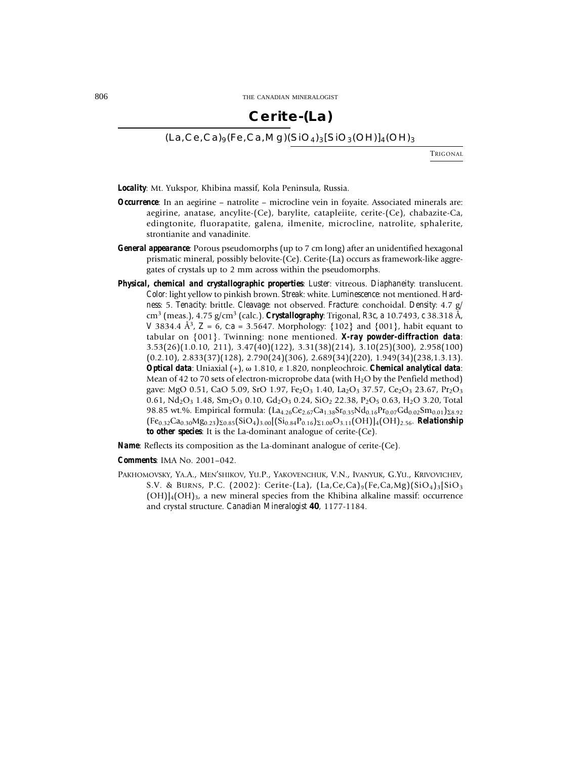## **Cerite-(La)**

### $(La, Ce, Ca)$ <sub>9</sub>(Fe,Ca,Mg)(SiO<sub>4</sub>)<sub>3</sub>[SiO<sub>3</sub>(OH)]<sub>4</sub>(OH)<sub>3</sub>

**TRICONAL** 

*Locality*: Mt. Yukspor, Khibina massif, Kola Peninsula, Russia.

- *Occurrence*: In an aegirine natrolite microcline vein in foyaite. Associated minerals are: aegirine, anatase, ancylite-(Ce), barylite, catapleiite, cerite-(Ce), chabazite-Ca, edingtonite, fluorapatite, galena, ilmenite, microcline, natrolite, sphalerite, strontianite and vanadinite.
- *General appearance*: Porous pseudomorphs (up to 7 cm long) after an unidentified hexagonal prismatic mineral, possibly belovite-(Ce). Cerite-(La) occurs as framework-like aggregates of crystals up to 2 mm across within the pseudomorphs.
- *Physical, chemical and crystallographic properties*: *Luster*: vitreous. *Diaphaneity*: translucent. *Color*: light yellow to pinkish brown. *Streak*: white. *Luminescence*: not mentioned. *Hardness*: 5. *Tenacity*: brittle. *Cleavage*: not observed. *Fracture*: conchoidal. *Density*: 4.7 g/ cm3 (meas.), 4.75 g/cm3 (calc.). *Crystallography*: Trigonal, *R*3*c*, *a* 10.7493, *c* 38.318 Å, *V* 3834.4 Å<sup>3</sup>, *Z* = 6, *c*:*a* = 3.5647. Morphology: {102} and {001}, habit equant to tabular on {001}. Twinning: none mentioned. *X-ray powder-diffraction data*: 3.53(26)(1.0.10, 211), 3.47(40)(122), 3.31(38)(214), 3.10(25)(300), 2.958(100)  $(0.2.10)$ ,  $2.833(37)(128)$ ,  $2.790(24)(306)$ ,  $2.689(34)(220)$ ,  $1.949(34)(238,1.3.13)$ . *Optical data*: Uniaxial (+), ω 1.810, ε 1.820, nonpleochroic. *Chemical analytical data*: Mean of 42 to 70 sets of electron-microprobe data (with  $H_2O$  by the Penfield method) gave: MgO 0.51, CaO 5.09, SrO 1.97, Fe<sub>2</sub>O<sub>3</sub> 1.40, La<sub>2</sub>O<sub>3</sub> 37.57, Ce<sub>2</sub>O<sub>3</sub> 23.67, Pr<sub>2</sub>O<sub>3</sub> 0.61,  $Nd_2O_3$  1.48,  $Sm_2O_3$  0.10,  $Gd_2O_3$  0.24,  $SiO_2$  22.38,  $P_2O_5$  0.63,  $H_2O$  3.20, Total 98.85 wt.%. Empirical formula: (La<sub>4.26</sub>Ce<sub>2.67</sub>Ca<sub>1.38</sub>Sr<sub>0.35</sub>Nd<sub>0.16</sub>Pr<sub>0.07</sub>Gd<sub>0.02</sub>Sm<sub>0.01</sub>)<sub>28.92</sub>  $(Fe_{0.32}Ca_{0.30}Mg_{0.23})\Sigma_{0.85}(\text{SiO}_4)_{3.00}[(\text{Si}_{0.84}P_{0.16})\Sigma_{1.00}O_{3.11}(\text{OH})]_4(\text{OH})_{2.56}$ . *Relationship to other species*: It is the La-dominant analogue of cerite-(Ce).

*Name*: Reflects its composition as the La-dominant analogue of cerite-(Ce).

*Comments*: IMA No. 2001–042.

PAKHOMOVSKY, YA.A., MEN'SHIKOV, YU.P., YAKOVENCHUK, V.N., IVANYUK, G.YU., KRIVOVICHEV, S.V. & BURNS, P.C. (2002): Cerite-(La),  $(La, Ce, Ca)$ <sub>9</sub>(Fe,Ca,Mg)(SiO<sub>4</sub>)<sub>3</sub>[SiO<sub>3</sub>)  $(OH)$ ]<sub>4</sub> $(OH)$ <sub>3</sub>, a new mineral species from the Khibina alkaline massif: occurrence and crystal structure. *Canadian Mineralogist* **40**, 1177-1184.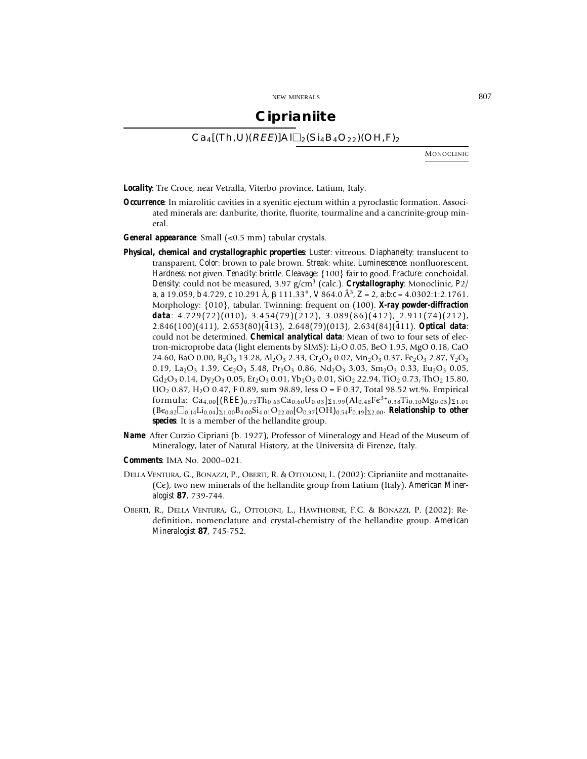### **Ciprianiite**

 $Ca_4$ [(Th,U)(*REE*)]Al $\Box$ <sub>2</sub>(Si<sub>4</sub>B<sub>4</sub>O<sub>22</sub>)(OH,F)<sub>2</sub>

MONOCLINIC

*Locality*: Tre Croce, near Vetralla, Viterbo province, Latium, Italy.

- *Occurrence*: In miarolitic cavities in a syenitic ejectum within a pyroclastic formation. Associated minerals are: danburite, thorite, fluorite, tourmaline and a cancrinite-group mineral.
- *General appearance*: Small (<0.5 mm) tabular crystals.
- *Physical, chemical and crystallographic properties*: *Luster*: vitreous. *Diaphaneity*: translucent to transparent. *Color*: brown to pale brown. *Streak*: white. *Luminescence*: nonfluorescent. *Hardness*: not given. *Tenacity*: brittle. *Cleavage*: {100} fair to good. *Fracture*: conchoidal. *Density*: could not be measured, 3.97 g/cm3 (calc.). *Crystallography*: Monoclinic, *P*2/ *a*, *a* 19.059, *b* 4.729, *c* 10.291 Å, 111.33° , *V* 864.0 Å3, *Z* = 2, *a*:*b*:*c* = 4.0302:1:2.1761. Morphology: {010}, tabular. Twinning: frequent on (100). *X-ray powder-diffraction* data: 4.729(72)(010), 3.454(79)(212), 3.089(86)(412), 2.911(74)(212),  $2.846(100)(411)$ ,  $2.653(80)(413)$ ,  $2.648(79)(013)$ ,  $2.634(84)(411)$ . *Optical data*: could not be determined. *Chemical analytical data*: Mean of two to four sets of electron-microprobe data (light elements by SIMS): Li<sub>2</sub>O 0.05, BeO 1.95, MgO 0.18, CaO 24.60, BaO 0.00, B<sub>2</sub>O<sub>3</sub> 13.28, Al<sub>2</sub>O<sub>3</sub> 2.33, Cr<sub>2</sub>O<sub>3</sub> 0.02, Mn<sub>2</sub>O<sub>3</sub> 0.37, Fe<sub>2</sub>O<sub>3</sub> 2.87, Y<sub>2</sub>O<sub>3</sub> 0.19, La<sub>2</sub>O<sub>3</sub> 1.39, Ce<sub>2</sub>O<sub>3</sub> 5.48, Pr<sub>2</sub>O<sub>3</sub> 0.86, Nd<sub>2</sub>O<sub>3</sub> 3.03, Sm<sub>2</sub>O<sub>3</sub> 0.33, Eu<sub>2</sub>O<sub>3</sub> 0.05,  $Gd_2O_3$  0.14, Dy<sub>2</sub>O<sub>3</sub> 0.05, Er<sub>2</sub>O<sub>3</sub> 0.01, Yb<sub>2</sub>O<sub>3</sub> 0.01, SiO<sub>2</sub> 22.94, TiO<sub>2</sub> 0.73, ThO<sub>2</sub> 15.80,  $UO<sub>2</sub> 0.87, H<sub>2</sub>O 0.47, F 0.89, sum 98.89, less O = F 0.37, Total 98.52 wt. %$ . Empirical formula:  $Ca_{4.00}[(REE)_{0.73}Th_{0.63}Ca_{0.60}U_{0.03}]_{\Sigma1.99}(Al_{0.48}Fe^{3+}{}_{0.38}Ti_{0.10}Mg_{0.05})_{\Sigma1.01}$  $(Be_{0.82}\Box_{0.14}Li_{0.04})_{\Sigma1.00}B_{4.00}Si_{4.01}O_{22.00}[O_{0.97}(OH)_{0.54}F_{0.49}]_{\Sigma2.00}$ . *Relationship to other species*: It is a member of the hellandite group.
- *Name*: After Curzio Cipriani (b. 1927), Professor of Mineralogy and Head of the Museum of Mineralogy, later of Natural History, at the Università di Firenze, Italy.
- *Comments*: IMA No. 2000–021.
- DELLA VENTURA, G., BONAZZI, P., OBERTI, R. & OTTOLONI, L. (2002): Ciprianiite and mottanaite- (Ce), two new minerals of the hellandite group from Latium (Italy). *American Mineralogist* **87**, 739-744.
- OBERTI, R., DELLA VENTURA, G., OTTOLONI, L., HAWTHORNE, F.C. & BONAZZI, P. (2002): Redefinition, nomenclature and crystal-chemistry of the hellandite group. *American Mineralogist* **87**, 745-752.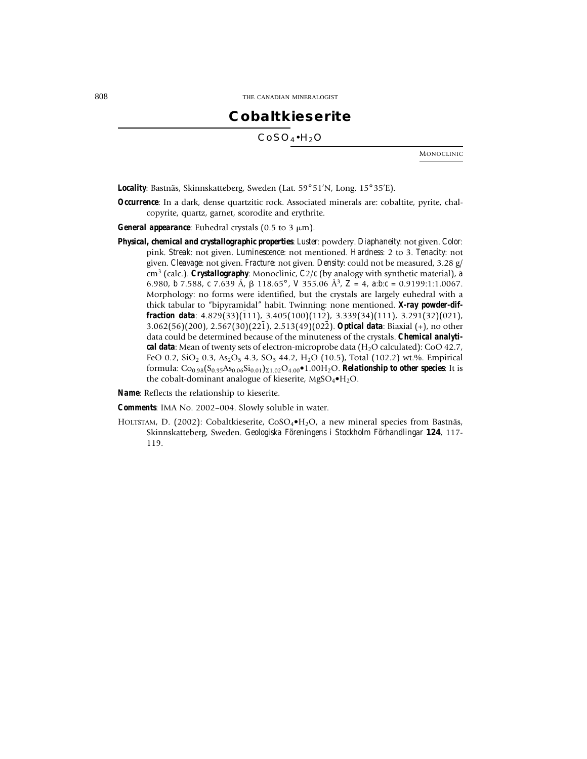## **Cobaltkieserite**

 $CoSO_4\cdot H_2O$ 

MONOCLINIC

*Locality*: Bastnäs, Skinnskatteberg, Sweden (Lat. 59° 51'N, Long. 15° 35'E).

*Occurrence*: In a dark, dense quartzitic rock. Associated minerals are: cobaltite, pyrite, chalcopyrite, quartz, garnet, scorodite and erythrite.

*General appearance*: Euhedral crystals  $(0.5 \text{ to } 3 \mu \text{m})$ .

*Physical, chemical and crystallographic properties*: *Luster*: powdery. *Diaphaneity*: not given. *Color*: pink. *Streak*: not given. *Luminescence*: not mentioned. *Hardness*: 2 to 3. *Tenacity*: not given. *Cleavage*: not given. *Fracture*: not given. *Density*: could not be measured, 3.28 g/ cm3 (calc.). *Crystallography*: Monoclinic, *C*2/*c* (by analogy with synthetic material), *a* 6.980, *b* 7.588, *c* 7.639 Å, 118.65° , *V* 355.06 Å3, *Z* = 4, *a*:*b*:*c* = 0.9199:1:1.0067. Morphology: no forms were identified, but the crystals are largely euhedral with a thick tabular to "bipyramidal" habit. Twinning: none mentioned. *X-ray powder-dif***fraction data**:  $4.829(33)(\overline{1}11)$ ,  $3.405(100)(112)$ ,  $3.339(34)(111)$ ,  $3.291(32)(021)$ , 3.062(56)(200), 2.567(30)(221), 2.513(49)(022). **Optical data**: Biaxial (+), no other data could be determined because of the minuteness of the crystals. *Chemical analytical data*: Mean of twenty sets of electron-microprobe data (H2O calculated): CoO 42.7, FeO 0.2, SiO<sub>2</sub> 0.3, As<sub>2</sub>O<sub>5</sub> 4.3, SO<sub>3</sub> 44.2, H<sub>2</sub>O (10.5), Total (102.2) wt.%. Empirical formula:  $Co_{0.98}(S_{0.95}As_{0.06}Si_{0.01})_{\Sigma1.02}O_{4.00}\bullet1.00H_2O$ . *Relationship to other species*: It is the cobalt-dominant analogue of kieserite,  $MgSO_4\bullet H_2O$ .

*Name*: Reflects the relationship to kieserite.

*Comments*: IMA No. 2002–004. Slowly soluble in water.

HOLTSTAM, D. (2002): Cobaltkieserite,  $CoSO_4\bullet H_2O$ , a new mineral species from Bastnäs, Skinnskatteberg, Sweden. *Geologiska Föreningens i Stockholm Förhandlingar* **124**, 117- 119.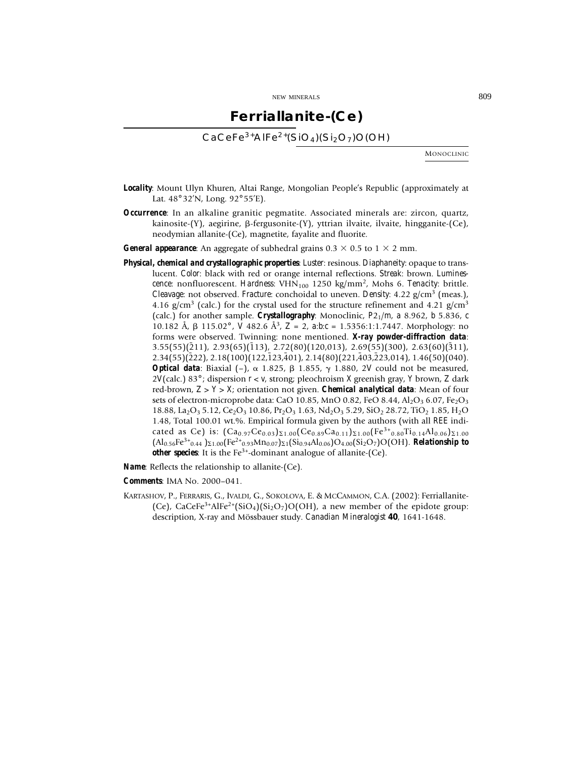### **Ferriallanite-(Ce)**

 $CaCeFe<sup>3+</sup>AlFe<sup>2+</sup>(SiO<sub>4</sub>)(Si<sub>2</sub>O<sub>7</sub>)O(OH)$ 

MONOCLINIC

- *Locality*: Mount Ulyn Khuren, Altai Range, Mongolian People's Republic (approximately at Lat. 48° 32'N, Long. 92° 55'E).
- *Occurrence*: In an alkaline granitic pegmatite. Associated minerals are: zircon, quartz, kainosite- $(Y)$ , aegirine,  $\beta$ -fergusonite- $(Y)$ , yttrian ilvaite, ilvaite, hingganite- $(Ce)$ , neodymian allanite-(Ce), magnetite, fayalite and fluorite.
- **General appearance**: An aggregate of subhedral grains  $0.3 \times 0.5$  to  $1 \times 2$  mm.
- *Physical, chemical and crystallographic properties*: *Luster*: resinous. *Diaphaneity*: opaque to translucent. *Color*: black with red or orange internal reflections. *Streak*: brown. *Luminescence*: nonfluorescent. *Hardness*: VHN<sub>100</sub> 1250 kg/mm<sup>2</sup>, Mohs 6. *Tenacity*: brittle. *Cleavage*: not observed. *Fracture*: conchoidal to uneven. *Density*: 4.22  $g/cm^3$  (meas.), 4.16 g/cm<sup>3</sup> (calc.) for the crystal used for the structure refinement and 4.21 g/cm<sup>3</sup> (calc.) for another sample. *Crystallography*: Monoclinic, *P*21/*m*, *a* 8.962, *b* 5.836, *c* 10.182 Å, 115.02° , *V* 482.6 Å3, *Z* = 2, *a*:*b*:*c* = 1.5356:1:1.7447. Morphology: no forms were observed. Twinning: none mentioned. *X-ray powder-diffraction data*:  $3.55(55)(\overline{2}11)$ ,  $2.93(65)(\overline{1}13)$ ,  $2.72(80)(120,013)$ ,  $2.69(55)(300)$ ,  $2.63(60)(\overline{3}11)$ ,  $2.34(55)(222)$ ,  $2.18(100)(122, 123, 401)$ ,  $2.14(80)(221, 403, 223, 014)$ ,  $1.46(50)(040)$ . **Optical data**: Biaxial  $(-)$ ,  $\alpha$  1.825,  $\beta$  1.855,  $\gamma$  1.880, 2*V* could not be measured, 2*V*(calc.) 83° ; dispersion *r* < *v*, strong; pleochroism *X* greenish gray, *Y* brown, *Z* dark red-brown, *Z* > *Y* > *X*; orientation not given. *Chemical analytical data*: Mean of four sets of electron-microprobe data: CaO 10.85, MnO 0.82, FeO 8.44, Al<sub>2</sub>O<sub>3</sub> 6.07, Fe<sub>2</sub>O<sub>3</sub>  $18.88$ , La<sub>2</sub>O<sub>3</sub> 5.12, Ce<sub>2</sub>O<sub>3</sub> 10.86, Pr<sub>2</sub>O<sub>3</sub> 1.63, Nd<sub>2</sub>O<sub>3</sub> 5.29, SiO<sub>2</sub> 28.72, TiO<sub>2</sub> 1.85, H<sub>2</sub>O 1.48, Total 100.01 wt.%. Empirical formula given by the authors (with all *REE* indicated as Ce) is:  $(Ca_{0.97}Ce_{0.03})_{\Sigma1,00}(Ce_{0.89}Ca_{0.11})_{\Sigma1,00}(Fe^{3+}_{0.80}Ti_{0.14}Al_{0.06})_{\Sigma1,00}$  $\left(Al_{0.56}Fe^{3+}$ <sub>0.44</sub>  $\right)\Sigma1.00}(Fe^{2+}$ <sub>0.93</sub>Mn<sub>0.07</sub> $\right)\Sigma1}$ (Si<sub>0.94</sub>Al<sub>0.06</sub>)O<sub>4.00</sub>(Si<sub>2</sub>O<sub>7</sub>)O(OH). *Relationship to other species*: It is the Fe<sup>3+</sup>-dominant analogue of allanite-(Ce).

*Name*: Reflects the relationship to allanite-(Ce).

*Comments*: IMA No. 2000–041.

KARTASHOV, P., FERRARIS, G., IVALDI, G., SOKOLOVA, E. & MCCAMMON, C.A. (2002): Ferriallanite- (Ce), CaCeFe<sup>3+</sup>AlFe<sup>2+</sup>(SiO<sub>4</sub>)(Si<sub>2</sub>O<sub>7</sub>)O(OH), a new member of the epidote group: description, X-ray and Mössbauer study. *Canadian Mineralogist* **40**, 1641-1648.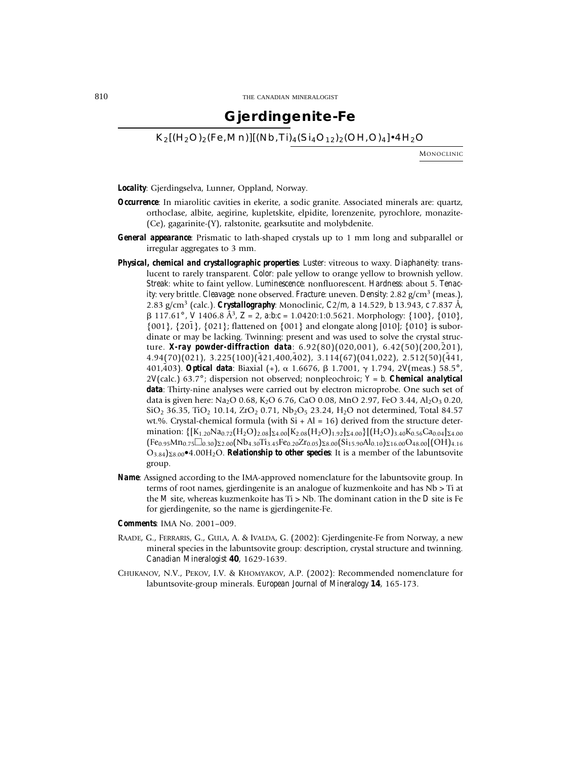### **Gjerdingenite-Fe**

 $K_2[(H_2O)_2(Fe, Mn)][(Nb, Ti)_4(Si_4O_{12})_2(OH, O)_4]\cdot 4H_2O$ 

MONOCLINIC

*Locality*: Gjerdingselva, Lunner, Oppland, Norway.

- *Occurrence*: In miarolitic cavities in ekerite, a sodic granite. Associated minerals are: quartz, orthoclase, albite, aegirine, kupletskite, elpidite, lorenzenite, pyrochlore, monazite- (Ce), gagarinite-(Y), ralstonite, gearksutite and molybdenite.
- *General appearance*: Prismatic to lath-shaped crystals up to 1 mm long and subparallel or irregular aggregates to 3 mm.
- *Physical, chemical and crystallographic properties*: *Luster*: vitreous to waxy. *Diaphaneity*: translucent to rarely transparent. *Color*: pale yellow to orange yellow to brownish yellow. *Streak*: white to faint yellow. *Luminescence*: nonfluorescent. *Hardness*: about 5. *Tenacity*: very brittle. *Cleavage*: none observed. *Fracture*: uneven. *Density*: 2.82 g/cm3 (meas.), 2.83 g/cm3 (calc.). *Crystallography*: Monoclinic, *C*2/*m*, *a* 14.529, *b* 13.943, *c* 7.837 Å, 117.61° , *V* 1406.8 Å3, *Z* = 2, *a*:*b*:*c* = 1.0420:1:0.5621. Morphology: {100}, {010},  $\{001\}$ ,  $\{20\overline{1}\}$ ,  $\{021\}$ ; flattened on  $\{001\}$  and elongate along [010];  $\{010\}$  is subordinate or may be lacking. Twinning: present and was used to solve the crystal structure. X-ray powder-diffraction data: 6.92(80)(020,001), 6.42(50)(200,201),  $4.94(70)(021)$ ,  $3.225(100)(\overline{4}21,400,\overline{4}02)$ ,  $3.114(67)(041,022)$ ,  $2.512(50)(\overline{4}41,$ 401,403). **Optical data**: Biaxial (+),  $\alpha$  1.6676,  $\beta$  1.7001,  $\gamma$  1.794, 2*V*(meas.) 58.5°, 2*V*(calc.) 63.7° ; dispersion not observed; nonpleochroic; *Y* = *b*. *Chemical analytical data*: Thirty-nine analyses were carried out by electron microprobe. One such set of data is given here: Na<sub>2</sub>O 0.68, K<sub>2</sub>O 6.76, CaO 0.08, MnO 2.97, FeO 3.44, Al<sub>2</sub>O<sub>3</sub> 0.20,  $SiO_2$  36.35, TiO<sub>2</sub> 10.14, ZrO<sub>2</sub> 0.71, Nb<sub>2</sub>O<sub>5</sub> 23.24, H<sub>2</sub>O not determined, Total 84.57 wt.%. Crystal-chemical formula (with  $Si + Al = 16$ ) derived from the structure determination:  $\{[K_{1,20}Na_{0,72}(H_2O)_{2.08}]_{\Sigma4.00}[K_{2.08}(H_2O)_{1.92}]_{\Sigma4.00}\}[(H_2O)_{3.40}K_{0.56}Ca_{0.04}]_{\Sigma4.00}$  $(Fe_{0.95}Mn_{0.75}\Box_{0.30})_{22.00}(Nb_{4.30}Ti_{3.45}Fe_{0.20}Zr_{0.05})_{28.00}(Si_{15.90}Al_{0.10})_{216.00}O_{48.00}[(OH)_{4.16}$  $O_{3.84}$ <sub>28.00</sub>•4.00H<sub>2</sub>O. *Relationship to other species*: It is a member of the labuntsovite group.
- *Name*: Assigned according to the IMA-approved nomenclature for the labuntsovite group. In terms of root names, gjerdingenite is an analogue of kuzmenkoite and has Nb > Ti at the *M* site, whereas kuzmenkoite has Ti > Nb. The dominant cation in the *D* site is Fe for gjerdingenite, so the name is gjerdingenite-Fe.

*Comments*: IMA No. 2001–009.

- RAADE, G., FERRARIS, G., GULA, A. & IVALDA, G. (2002): Gjerdingenite-Fe from Norway, a new mineral species in the labuntsovite group: description, crystal structure and twinning. *Canadian Mineralogist* **40**, 1629-1639.
- CHUKANOV, N.V., PEKOV, I.V. & KHOMYAKOV, A.P. (2002): Recommended nomenclature for labuntsovite-group minerals. *European Journal of Mineralogy* **14**, 165-173.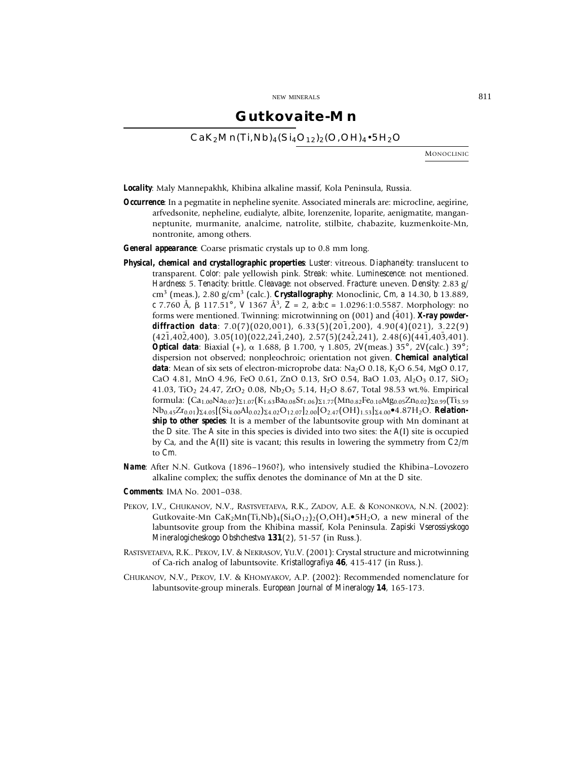### **Gutkovaite-Mn**

 $CaK<sub>2</sub>Mn(Ti,Nb)<sub>4</sub>(Si<sub>4</sub>O<sub>12</sub>)<sub>2</sub>(O,OH)<sub>4</sub>•5H<sub>2</sub>O$ 

MONOCLINIC

*Locality*: Maly Mannepakhk, Khibina alkaline massif, Kola Peninsula, Russia.

*Occurrence*: In a pegmatite in nepheline syenite. Associated minerals are: microcline, aegirine, arfvedsonite, nepheline, eudialyte, albite, lorenzenite, loparite, aenigmatite, manganneptunite, murmanite, analcime, natrolite, stilbite, chabazite, kuzmenkoite-Mn, nontronite, among others.

*General appearance*: Coarse prismatic crystals up to 0.8 mm long.

- *Physical, chemical and crystallographic properties*: *Luster*: vitreous. *Diaphaneity*: translucent to transparent. *Color*: pale yellowish pink. *Streak*: white. *Luminescence*: not mentioned. *Hardness*: 5. *Tenacity*: brittle. *Cleavage*: not observed. *Fracture*: uneven. *Density*: 2.83 g/ cm3 (meas.), 2.80 g/cm3 (calc.). *Crystallography*: Monoclinic, *Cm*, *a* 14.30, *b* 13.889, *c* 7.760 Å, 117.51° , *V* 1367 Å3, *Z* = 2, *a*:*b*:*c* = 1.0296:1:0.5587. Morphology: no forms were mentioned. Twinning: microtwinning on  $(001)$  and  $(401)$ . **X-ray powder***diffraction data*: 7.0(7)(020,001), 6.33(5)(20¯ 1,200), 4.90(4)(021), 3.22(9)  $(42\overline{1}, 40\overline{2}, 400), 3.05(10)(022, 24\overline{1}, 240), 2.57(5)(24\overline{2}, 241), 2.48(6)(44\overline{1}, 40\overline{3}, 401).$ **Optical data**: Biaxial (+),  $\alpha$  1.688,  $\beta$  1.700,  $\gamma$  1.805, 2*V*(meas.) 35°, 2*V*(calc.) 39°; dispersion not observed; nonpleochroic; orientation not given. *Chemical analytical* data: Mean of six sets of electron-microprobe data: Na<sub>2</sub>O 0.18, K<sub>2</sub>O 6.54, MgO 0.17, CaO 4.81, MnO 4.96, FeO 0.61, ZnO 0.13, SrO 0.54, BaO 1.03, Al<sub>2</sub>O<sub>3</sub> 0.17, SiO<sub>2</sub> 41.03, TiO<sub>2</sub> 24.47, ZrO<sub>2</sub> 0.08, Nb<sub>2</sub>O<sub>5</sub> 5.14, H<sub>2</sub>O 8.67, Total 98.53 wt.%. Empirical formula:  $(Ca_{1,00}Na_{0.07})_{\Sigma1.07}(K_{1,63}Ba_{0.08}Sr_{1.06})_{\Sigma1.77}(Mn_{0.87}Fe_{0.10}Mg_{0.05}Zn_{0.02})_{\Sigma0.99}(Ti_{3.59}$ Nb<sub>0.45</sub>Zr<sub>0.01</sub>)<sub>∑4.05</sub>[(Si<sub>4.00</sub>Al<sub>0.02</sub>)<sub>∑4.02</sub>O<sub>12.07</sub>]<sub>2.00</sub>[O<sub>2.47</sub>(OH)<sub>1.53</sub>]<sub>∑4.00</sub>•4.87H<sub>2</sub>O. *Relationship to other species*: It is a member of the labuntsovite group with Mn dominant at the *D* site. The *A* site in this species is divided into two sites: the *A*(I) site is occupied by Ca, and the *A*(II) site is vacant; this results in lowering the symmetry from *C*2/*m* to *Cm*.
- *Name*: After N.N. Gutkova (1896–1960?), who intensively studied the Khibina–Lovozero alkaline complex; the suffix denotes the dominance of Mn at the *D* site.
- *Comments*: IMA No. 2001–038.
- PEKOV, I.V., CHUKANOV, N.V., RASTSVETAEVA, R.K., ZADOV, A.E. & KONONKOVA, N.N. (2002): Gutkovaite-Mn CaK<sub>2</sub>Mn(Ti,Nb)<sub>4</sub>(Si<sub>4</sub>O<sub>12</sub>)<sub>2</sub>(O,OH)<sub>4</sub>•5H<sub>2</sub>O, a new mineral of the labuntsovite group from the Khibina massif, Kola Peninsula. *Zapiski Vserossiyskogo Mineralogicheskogo Obshchestva* **131**(2), 51-57 (in Russ.).
- RASTSVETAEVA, R.K.. PEKOV, I.V. & NEKRASOV, YU.V. (2001): Crystal structure and microtwinning of Ca-rich analog of labuntsovite. *Kristallografiya* **46**, 415-417 (in Russ.).
- CHUKANOV, N.V., PEKOV, I.V. & KHOMYAKOV, A.P. (2002): Recommended nomenclature for labuntsovite-group minerals. *European Journal of Mineralogy* **14**, 165-173.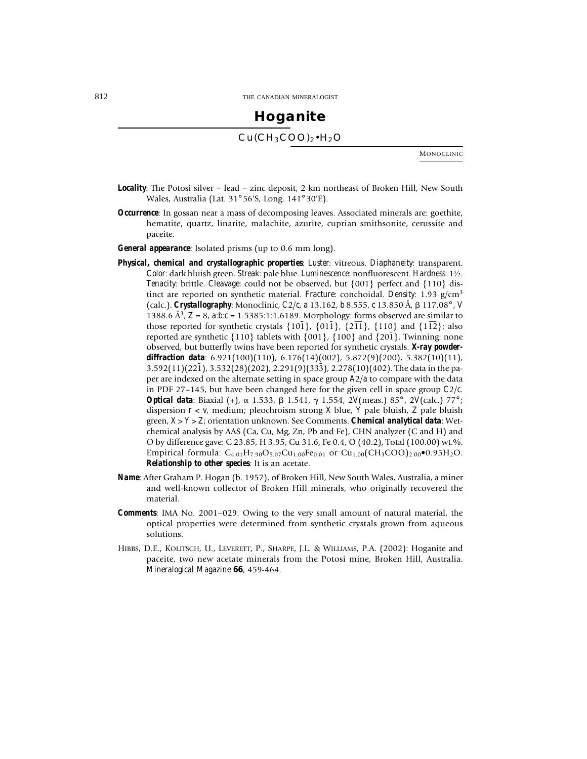## **Hoganite**  $Cu(CH_3COO)_2 \cdot H_2O$

MONOCLINIC

- *Locality*: The Potosi silver lead zinc deposit, 2 km northeast of Broken Hill, New South Wales, Australia (Lat. 31° 56'S, Long. 141° 30'E).
- *Occurrence*: In gossan near a mass of decomposing leaves. Associated minerals are: goethite, hematite, quartz, linarite, malachite, azurite, cuprian smithsonite, cerussite and paceite.
- *General appearance*: Isolated prisms (up to 0.6 mm long).
- *Physical, chemical and crystallographic properties*: *Luster*: vitreous. *Diaphaneity*: transparent. *Color*: dark bluish green. *Streak*: pale blue. *Luminescence*: nonfluorescent. *Hardness*: 1½. *Tenacity*: brittle. *Cleavage*: could not be observed, but {001} perfect and {110} distinct are reported on synthetic material. *Fracture*: conchoidal. *Density*: 1.93 g/cm<sup>3</sup> (calc.). *Crystallography*: Monoclinic, *C*2/*c*, *a* 13.162, *b* 8.555, *c* 13.850 Å, 117.08° , *V* 1388.6 Å3, *Z* = 8, *a*:*b*:*c* = 1.5385:1:1.6189. Morphology: forms observed are similar to those reported for synthetic crystals  $\{10\overline{1}\}$ ,  $\{01\overline{1}\}$ ,  $\{2\overline{11}\}$ ,  $\{110\}$  and  $\{1\overline{12}\}$ ; also reported are synthetic  $\{110\}$  tablets with  $\{001\}$ ,  $\{100\}$  and  $\{20\}$ . Twinning: none observed, but butterfly twins have been reported for synthetic crystals. *X-ray powderdiffraction data*: 6.921(100)(110), 6.176(14)(002), 5.872(9)(200), 5.382(10)(11), 3.592(11)(221), 3.532(28)(202), 2.291(9)(333), 2.278(10)(402). The data in the paper are indexed on the alternate setting in space group *A*2/*a* to compare with the data in PDF 27–145, but have been changed here for the given cell in space group *C*2/*c*. **Optical data**: Biaxial (+),  $\alpha$  1.533,  $\beta$  1.541,  $\gamma$  1.554, 2*V*(meas.) 85°, 2*V*(calc.) 77°; dispersion *r* < *v*, medium; pleochroism strong *X* blue, *Y* pale bluish, *Z* pale bluish green, *X* > *Y* > *Z*; orientation unknown. See Comments. *Chemical analytical data*: Wetchemical analysis by AAS (Ca, Cu, Mg, Zn, Pb and Fe), CHN analyzer (C and H) and O by difference gave: C 23.85, H 3.95, Cu 31.6, Fe 0.4, O (40.2), Total (100.00) wt.%. Empirical formula:  $C_{4.01}H_{7.90}O_{5.07}Cu_{1.00}Fe_{0.01}$  or  $Cu_{1.00}(CH_3COO)_{2.00}$ <sup>·</sup>0.95H<sub>2</sub>O. *Relationship to other species*: It is an acetate.
- *Name*: After Graham P. Hogan (b. 1957), of Broken Hill, New South Wales, Australia, a miner and well-known collector of Broken Hill minerals, who originally recovered the material.
- *Comments*: IMA No. 2001–029. Owing to the very small amount of natural material, the optical properties were determined from synthetic crystals grown from aqueous solutions.
- HIBBS, D.E., KOLITSCH, U., LEVERETT, P., SHARPE, J.L. & WILLIAMS, P.A. (2002): Hoganite and paceite, two new acetate minerals from the Potosi mine, Broken Hill, Australia. *Mineralogical Magazine* **66**, 459-464.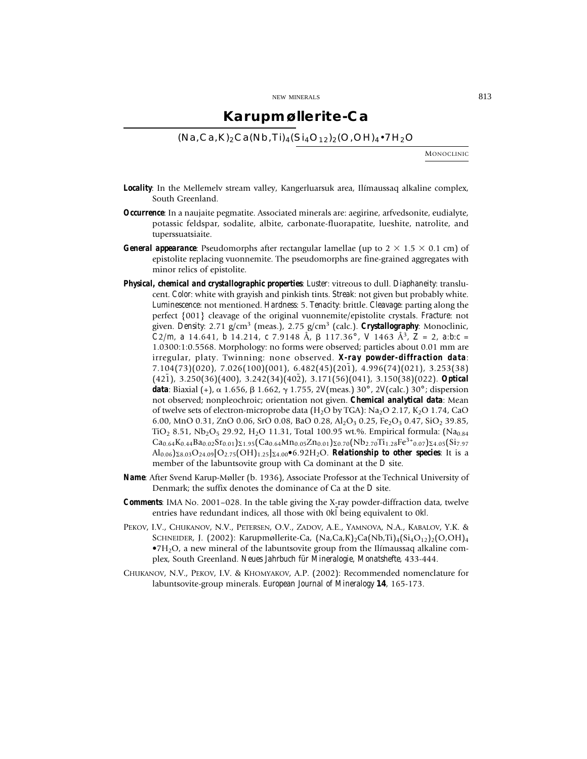### **Karupmøllerite-Ca**

 $(Na, Ca, K)_2 Ca(Nb, Ti)_4(Si_4O_{12})_2(O, OH)_4 \cdot 7H_2O$ 

MONOCLINIC

- *Locality*: In the Mellemelv stream valley, Kangerluarsuk area, Ilímaussaq alkaline complex, South Greenland.
- *Occurrence*: In a naujaite pegmatite. Associated minerals are: aegirine, arfvedsonite, eudialyte, potassic feldspar, sodalite, albite, carbonate-fluorapatite, lueshite, natrolite, and tuperssuatsiaite.
- **General appearance**: Pseudomorphs after rectangular lamellae (up to  $2 \times 1.5 \times 0.1$  cm) of epistolite replacing vuonnemite. The pseudomorphs are fine-grained aggregates with minor relics of epistolite.
- *Physical, chemical and crystallographic properties*: *Luster*: vitreous to dull. *Diaphaneity*: translucent. *Color*: white with grayish and pinkish tints. *Streak*: not given but probably white. *Luminescence*: not mentioned. *Hardness*: 5. *Tenacity*: brittle. *Cleavage*: parting along the perfect {001} cleavage of the original vuonnemite/epistolite crystals. *Fracture*: not given. *Density*: 2.71 g/cm3 (meas.), 2.75 g/cm3 (calc.). *Crystallography*: Monoclinic,  $C2/m$ , *a* 14.641, *b* 14.214, *c* 7.9148 Å,  $\beta$  117.36°, *V* 1463 Å<sup>3</sup>, *Z* = 2, *a*:*b*:*c* = 1.0300:1:0.5568. Morphology: no forms were observed; particles about 0.01 mm are irregular, platy. Twinning: none observed. *X-ray powder-diffraction data*:  $7.104(73)(020)$ ,  $7.026(100)(001)$ ,  $6.482(45)(201)$ ,  $4.996(74)(021)$ ,  $3.253(38)$  $(42\overline{1})$ , 3.250(36)(400), 3.242(34)(402), 3.171(56)(041), 3.150(38)(022). **Optical data**: Biaxial (+), α 1.656, β 1.662, γ 1.755, 2*V*(meas.) 30°, 2*V*(calc.) 30°; dispersion not observed; nonpleochroic; orientation not given. *Chemical analytical data*: Mean of twelve sets of electron-microprobe data (H<sub>2</sub>O by TGA): Na<sub>2</sub>O 2.17, K<sub>2</sub>O 1.74, CaO 6.00, MnO 0.31, ZnO 0.06, SrO 0.08, BaO 0.28, Al<sub>2</sub>O<sub>3</sub> 0.25, Fe<sub>2</sub>O<sub>3</sub> 0.47, SiO<sub>2</sub> 39.85, TiO<sub>2</sub> 8.51, Nb<sub>2</sub>O<sub>5</sub> 29.92, H<sub>2</sub>O 11.31, Total 100.95 wt.%. Empirical formula: (Na<sub>0.84</sub>)  $Ca_{0.64}K_{0.44}Ba_{0.02}Sr_{0.01}Q_{21.95}(Ca_{0.64}Mn_{0.05}Zn_{0.01})\Sigma_{0.70}(Nb_{2.70}Ti_{1.28}Fe^{3+}{}_{0.07})\Sigma_{4.05}(Si_{7.97}$  $A\ell_{0.06}$ <sub>28.03</sub>O<sub>24.09</sub>[O<sub>2.75</sub>(OH)<sub>1.25</sub>]<sub>24.00</sub>•6.92H<sub>2</sub>O. *Relationship to other species*: It is a member of the labuntsovite group with Ca dominant at the *D* site.
- *Name*: After Svend Karup-Møller (b. 1936), Associate Professor at the Technical University of Denmark; the suffix denotes the dominance of Ca at the *D* site.
- *Comments*: IMA No. 2001–028. In the table giving the X-ray powder-diffraction data, twelve entries have redundant indices, all those with  $0k\bar{l}$  being equivalent to 0kl.
- PEKOV, I.V., CHUKANOV, N.V., PETERSEN, O.V., ZADOV, A.E., YAMNOVA, N.A., KABALOV, Y.K. & SCHNEIDER, J. (2002): Karupmøllerite-Ca,  $(Na,Ca,K)_{2}$ Ca $(Nb,Ti)_{4}(Si_{4}O_{12})_{2}(O,OH)_{4}$  $\bullet$ 7H<sub>2</sub>O, a new mineral of the labuntsovite group from the Ilímaussaq alkaline complex, South Greenland. *Neues Jahrbuch für Mineralogie, Monatshefte*, 433-444.
- CHUKANOV, N.V., PEKOV, I.V. & KHOMYAKOV, A.P. (2002): Recommended nomenclature for labuntsovite-group minerals. *European Journal of Mineralogy* **14**, 165-173.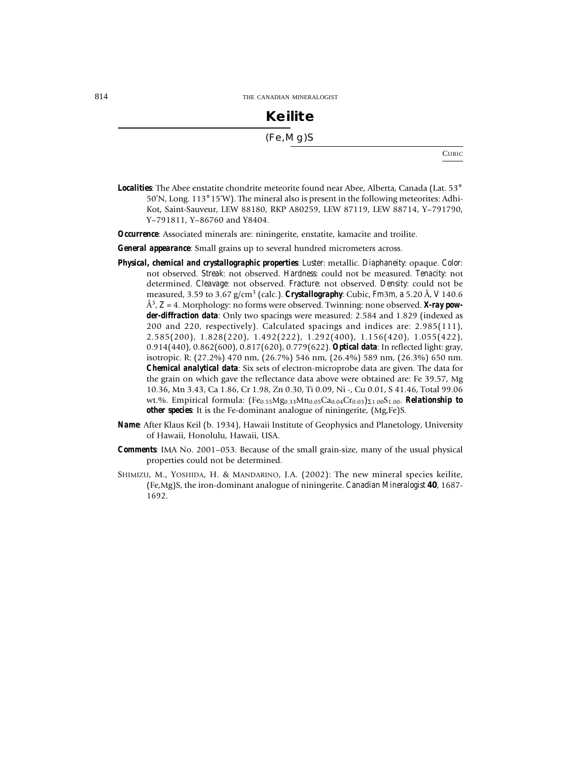## **Keilite** (Fe,Mg)S

**CUBIC** 

**Localities**: The Abee enstatite chondrite meteorite found near Abee, Alberta, Canada (Lat. 53° 50'N, Long. 113° 15'W). The mineral also is present in the following meteorites: Adhi-Kot, Saint-Sauveur, LEW 88180, RKP A80259, LEW 87119, LEW 88714, Y–791790, Y–791811, Y–86760 and Y8404.

*Occurrence*: Associated minerals are: niningerite, enstatite, kamacite and troilite.

*General appearance*: Small grains up to several hundred micrometers across.

- *Physical, chemical and crystallographic properties*: *Luster*: metallic. *Diaphaneity*: opaque. *Color*: not observed. *Streak*: not observed. *Hardness*: could not be measured. *Tenacity*: not determined. *Cleavage*: not observed. *Fracture*: not observed. *Density*: could not be measured, 3.59 to 3.67 g/cm3 (calc.). *Crystallography*: Cubic, *Fm*3*m*, *a* 5.20 Å, *V* 140.6 Å3, *Z* = 4. Morphology: no forms were observed. Twinning: none observed. *X-ray powder-diffraction data*: Only two spacings were measured: 2.584 and 1.829 (indexed as 200 and 220, respectively). Calculated spacings and indices are: 2.985(111), 2.585(200), 1.828(220), 1.492(222), 1.292(400), 1.156(420), 1.055(422), 0.914(440), 0.862(600), 0.817(620), 0.779(622). *Optical data*: In reflected light: gray, isotropic. R: (27.2%) 470 nm, (26.7%) 546 nm, (26.4%) 589 nm, (26.3%) 650 nm. *Chemical analytical data*: Six sets of electron-microprobe data are given. The data for the grain on which gave the reflectance data above were obtained are: Fe 39.57, Mg 10.36, Mn 3.43, Ca 1.86, Cr 1.98, Zn 0.30, Ti 0.09, Ni -, Cu 0.01, S 41.46, Total 99.06 wt.%. Empirical formula:  $(Fe<sub>0.55</sub>Mg<sub>0.33</sub>Mn<sub>0.05</sub>Ca<sub>0.04</sub>Cr<sub>0.03</sub>)s<sub>1.00</sub>S<sub>1.00</sub>$ . **Relationship to** *other species*: It is the Fe-dominant analogue of niningerite, (Mg,Fe)S.
- *Name*: After Klaus Keil (b. 1934), Hawaii Institute of Geophysics and Planetology, University of Hawaii, Honolulu, Hawaii, USA.
- *Comments*: IMA No. 2001–053. Because of the small grain-size, many of the usual physical properties could not be determined.
- SHIMIZU, M., YOSHIDA, H. & MANDARINO, J.A. (2002): The new mineral species keilite, (Fe,Mg)S, the iron-dominant analogue of niningerite. *Canadian Mineralogist* **40**, 1687- 1692.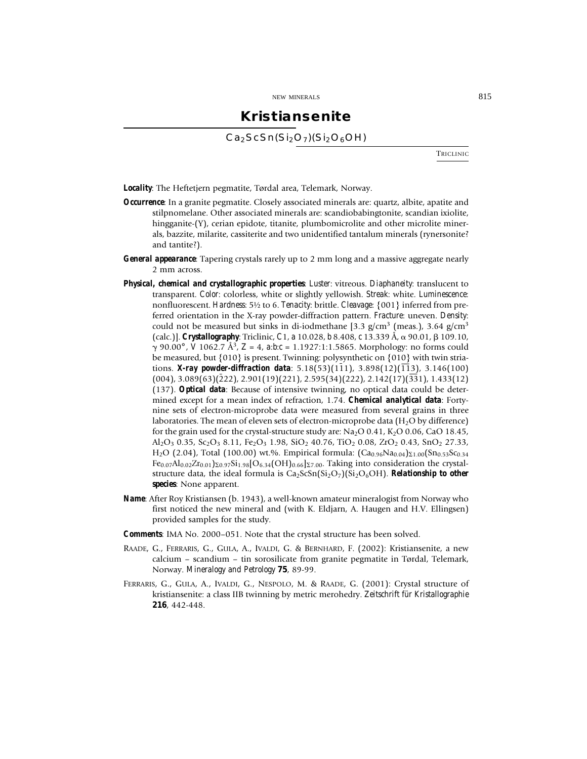### **Kristiansenite**

 $Ca<sub>2</sub>ScSn(Si<sub>2</sub>O<sub>7</sub>)(Si<sub>2</sub>O<sub>6</sub>OH)$ 

**TRICLINIC** 

*Locality*: The Heftetjern pegmatite, Tørdal area, Telemark, Norway.

- *Occurrence*: In a granite pegmatite. Closely associated minerals are: quartz, albite, apatite and stilpnomelane. Other associated minerals are: scandiobabingtonite, scandian ixiolite, hingganite-(Y), cerian epidote, titanite, plumbomicrolite and other microlite minerals, bazzite, milarite, cassiterite and two unidentified tantalum minerals (rynersonite? and tantite?).
- *General appearance*: Tapering crystals rarely up to 2 mm long and a massive aggregate nearly 2 mm across.
- *Physical, chemical and crystallographic properties*: *Luster*: vitreous. *Diaphaneity*: translucent to transparent. *Color*: colorless, white or slightly yellowish. *Streak*: white. *Luminescence*: nonfluorescent. *Hardness*: 5½ to 6. *Tenacity*: brittle. *Cleavage*: {001} inferred from preferred orientation in the X-ray powder-diffraction pattern. *Fracture*: uneven. *Density*: could not be measured but sinks in di-iodmethane [3.3  $g/cm^3$  (meas.), 3.64  $g/cm^3$ (calc.)]. *Crystallography*: Triclinic, *C*1, *a* 10.028, *b* 8.408, *c* 13.339 Å, α 90.01, β 109.10, 90.00° , *V* 1062.7 Å3, *Z* = 4, *a*:*b*:*c* = 1.1927:1:1.5865. Morphology: no forms could be measured, but {010} is present. Twinning: polysynthetic on {010} with twin striations. *X*-ray powder-diffraction data:  $5.18(53)(111)$ ,  $3.898(12)(113)$ ,  $3.146(100)$  $(004)$ , 3.089 $(63)(\overline{2}22)$ , 2.901 $(19)(221)$ , 2.595 $(34)(222)$ , 2.142 $(17)(\overline{33}1)$ , 1.433 $(12)$ (137). *Optical data*: Because of intensive twinning, no optical data could be determined except for a mean index of refraction, 1.74. *Chemical analytical data*: Fortynine sets of electron-microprobe data were measured from several grains in three laboratories. The mean of eleven sets of electron-microprobe data ( $H<sub>2</sub>O$  by difference) for the grain used for the crystal-structure study are:  $Na<sub>2</sub>O 0.41$ ,  $K<sub>2</sub>O 0.06$ , CaO 18.45,  $A_2O_3$  0.35,  $S_2O_3$  8.11, Fe<sub>2</sub>O<sub>3</sub> 1.98, SiO<sub>2</sub> 40.76, TiO<sub>2</sub> 0.08, ZrO<sub>2</sub> 0.43, SnO<sub>2</sub> 27.33,  $H_2O$  (2.04), Total (100.00) wt.%. Empirical formula:  $(Ca_{0.96}Na_{0.04})_{\Sigma1.00}$  $(Sn_{0.53}Sc_{0.34})_{\Sigma1.00}$  $Fe_{0.07}Al_{0.02}Zr_{0.01}S_{0.97}Si_{1.98}[O_{6.34}(OH)_{0.66}]S_{7.00}$ . Taking into consideration the crystalstructure data, the ideal formula is  $Ca<sub>2</sub>ScSn(Si<sub>2</sub>O<sub>7</sub>)(Si<sub>2</sub>O<sub>6</sub>OH)$ . **Relationship to other** *species*: None apparent.
- *Name*: After Roy Kristiansen (b. 1943), a well-known amateur mineralogist from Norway who first noticed the new mineral and (with K. Eldjarn, A. Haugen and H.V. Ellingsen) provided samples for the study.
- *Comments*: IMA No. 2000–051. Note that the crystal structure has been solved.
- RAADE, G., FERRARIS, G., GULA, A., IVALDI, G. & BERNHARD, F. (2002): Kristiansenite, a new calcium – scandium – tin sorosilicate from granite pegmatite in Tørdal, Telemark, Norway. *Mineralogy and Petrology* **75**, 89-99.
- FERRARIS, G., GULA, A., IVALDI, G., NESPOLO, M. & RAADE, G. (2001): Crystal structure of kristiansenite: a class IIB twinning by metric merohedry. *Zeitschrift für Kristallographie* **216**, 442-448.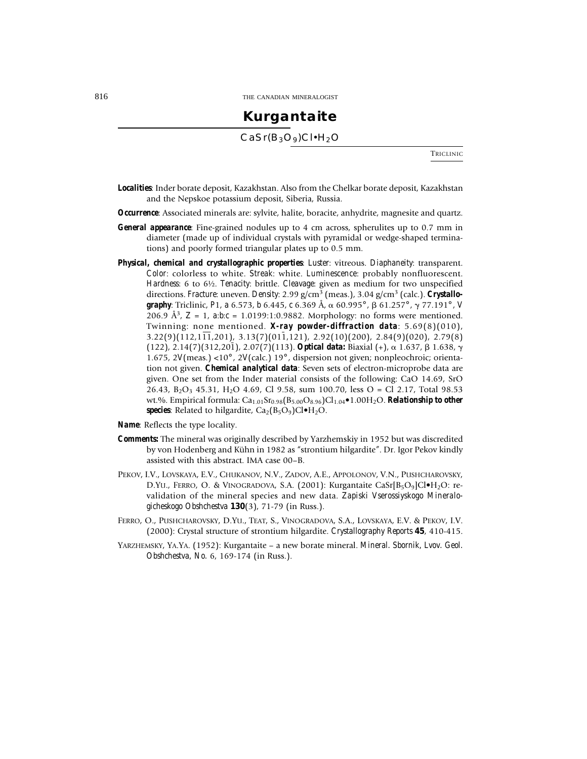# **Kurgantaite**

 $CaSr(B<sub>3</sub>O<sub>9</sub>)Cl·H<sub>2</sub>O$ 

**TRICLINIC** 

- *Localities*: Inder borate deposit, Kazakhstan. Also from the Chelkar borate deposit, Kazakhstan and the Nepskoe potassium deposit, Siberia, Russia.
- *Occurrence*: Associated minerals are: sylvite, halite, boracite, anhydrite, magnesite and quartz.
- *General appearance*: Fine-grained nodules up to 4 cm across, spherulites up to 0.7 mm in diameter (made up of individual crystals with pyramidal or wedge-shaped terminations) and poorly formed triangular plates up to 0.5 mm.
- *Physical, chemical and crystallographic properties*: *Luster*: vitreous. *Diaphaneity*: transparent. *Color*: colorless to white. *Streak*: white. *Luminescence*: probably nonfluorescent. *Hardness*: 6 to 6½. *Tenacity*: brittle. *Cleavage*: given as medium for two unspecified directions. *Fracture*: uneven. *Density*: 2.99 g/cm<sup>3</sup> (meas.), 3.04 g/cm<sup>3</sup> (calc.). *Crystallo***graphy**: Triclinic, P1, a 6.573, b 6.445, c 6.369 Å,  $\alpha$  60.995°,  $\beta$  61.257°,  $\gamma$  77.191°, *V* 206.9 Å3, *Z* = 1, *a*:*b*:*c* = 1.0199:1:0.9882. Morphology: no forms were mentioned. Twinning: none mentioned. *X-ray powder-diffraction data*: 5.69(8)(010),  $3.22(9)(112,1\overline{11},201)$ ,  $3.13(7)(01\overline{1},121)$ ,  $2.92(10)(200)$ ,  $2.84(9)(020)$ ,  $2.79(8)$  $(122)$ ,  $2.14(7)(312,201)$ ,  $2.07(7)(113)$ . **Optical data:** Biaxial (+),  $\alpha$  1.637,  $\beta$  1.638,  $\gamma$ 1.675, 2*V*(meas.) <10° , 2*V*(calc.) 19° , dispersion not given; nonpleochroic; orientation not given. *Chemical analytical data*: Seven sets of electron-microprobe data are given. One set from the Inder material consists of the following: CaO 14.69, SrO 26.43,  $B_2O_3$  45.31,  $H_2O$  4.69, Cl 9.58, sum 100.70, less  $O = Cl$  2.17, Total 98.53 wt.%. Empirical formula: Ca<sub>1.01</sub>Sr<sub>0.98</sub>(B<sub>5.00</sub>O<sub>8.96</sub>)Cl<sub>1.04</sub>•1.00H<sub>2</sub>O. *Relationship to other* **species**: Related to hilgardite,  $Ca_2(B_5O_9)Cl\bullet H_2O$ .
- *Name*: Reflects the type locality.
- *Comments:* The mineral was originally described by Yarzhemskiy in 1952 but was discredited by von Hodenberg and Kühn in 1982 as "strontium hilgardite". Dr. Igor Pekov kindly assisted with this abstract. IMA case 00–B.
- PEKOV, I.V., LOVSKAYA, E.V., CHUKANOV, N.V., ZADOV, A.E., APPOLONOV, V.N., PUSHCHAROVSKY, D.YU., FERRO, O. & VINOGRADOVA, S.A. (2001): Kurgantaite CaSr $[B_5O_9]$ Cl $\bullet$ H<sub>2</sub>O: revalidation of the mineral species and new data. *Zapiski Vserossiyskogo Mineralogicheskogo Obshchestva* **130**(3), 71-79 (in Russ.).
- FERRO, O., PUSHCHAROVSKY, D.YU., TEAT, S., VINOGRADOVA, S.A., LOVSKAYA, E.V. & PEKOV, I.V. (2000): Crystal structure of strontium hilgardite. *Crystallography Reports* **45**, 410-415.
- YARZHEMSKY, YA.YA. (1952): Kurgantaite a new borate mineral. *Mineral. Sbornik, Lvov. Geol. Obshchestva, No.* 6, 169-174 (in Russ.).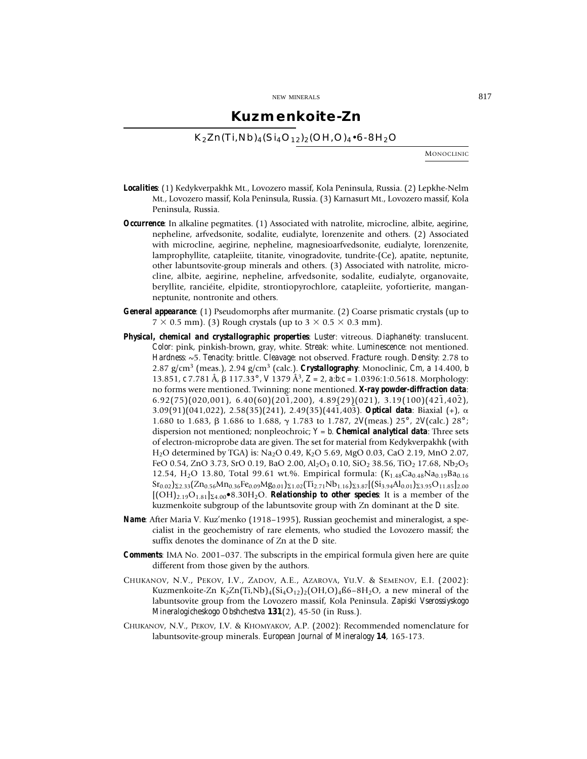### **Kuzmenkoite-Zn**

 $K_2Zn(Ti,Nb)_{4}(Si_4O_{12})_{2}(OH,O)_{4}$ •6-8H<sub>2</sub>O

MONOCLINIC

- *Localities*: (1) Kedykverpakhk Mt., Lovozero massif, Kola Peninsula, Russia. (2) Lepkhe-Nelm Mt., Lovozero massif, Kola Peninsula, Russia. (3) Karnasurt Mt., Lovozero massif, Kola Peninsula, Russia.
- *Occurrence*: In alkaline pegmatites. (1) Associated with natrolite, microcline, albite, aegirine, nepheline, arfvedsonite, sodalite, eudialyte, lorenzenite and others. (2) Associated with microcline, aegirine, nepheline, magnesioarfvedsonite, eudialyte, lorenzenite, lamprophyllite, catapleiite, titanite, vinogradovite, tundrite-(Ce), apatite, neptunite, other labuntsovite-group minerals and others. (3) Associated with natrolite, microcline, albite, aegirine, nepheline, arfvedsonite, sodalite, eudialyte, organovaite, beryllite, ranciéite, elpidite, strontiopyrochlore, catapleiite, yofortierite, manganneptunite, nontronite and others.
- *General appearance*: (1) Pseudomorphs after murmanite. (2) Coarse prismatic crystals (up to  $7 \times 0.5$  mm). (3) Rough crystals (up to  $3 \times 0.5 \times 0.3$  mm).
- *Physical, chemical and crystallographic properties*: *Luster*: vitreous. *Diaphaneity*: translucent. *Color*: pink, pinkish-brown, gray, white. *Streak*: white. *Luminescence*: not mentioned. *Hardness*: ~5. *Tenacity*: brittle. *Cleavage*: not observed. *Fracture*: rough. *Density*: 2.78 to 2.87 g/cm3 (meas.), 2.94 g/cm3 (calc.). *Crystallography*: Monoclinic, *Cm*, *a* 14.400, *b* 13.851, *c* 7.781 Å, 117.33° , *V* 1379 Å3, *Z* = 2, *a*:*b*:*c* = 1.0396:1:0.5618. Morphology: no forms were mentioned. Twinning: none mentioned. *X-ray powder-diffraction data*:  $6.92(75)(020,001)$ ,  $6.40(60)(201,200)$ ,  $4.89(29)(021)$ ,  $3.19(100)(421,402)$ , 3.09(91)(041,022), 2.58(35)(241), 2.49(35)(441,403). **Optical data**: Biaxial (+),  $\alpha$ 1.680 to 1.683, 1.686 to 1.688, 1.783 to 1.787, 2*V*(meas.) 25° , 2*V*(calc.) 28° ; dispersion not mentioned; nonpleochroic; *Y* = *b*. *Chemical analytical data*: Three sets of electron-microprobe data are given. The set for material from Kedykverpakhk (with H<sub>2</sub>O determined by TGA) is: Na<sub>2</sub>O 0.49, K<sub>2</sub>O 5.69, MgO 0.03, CaO 2.19, MnO 2.07, FeO 0.54, ZnO 3.73, SrO 0.19, BaO 2.00, Al<sub>2</sub>O<sub>3</sub> 0.10, SiO<sub>2</sub> 38.56, TiO<sub>2</sub> 17.68, Nb<sub>2</sub>O<sub>5</sub> 12.54, H<sub>2</sub>O 13.80, Total 99.61 wt.%. Empirical formula:  $(K_{1.48}Ca_{0.48}Na_{0.19}Ba_{0.16}$  $S_{r_{0.02}}|_{\Sigma_{2.33}}(Zn_{0.56}Mn_{0.36}Fe_{0.09}Mg_{0.01})_{\Sigma_{1.02}}(Ti_{2.71}Nb_{1.16})_{\Sigma_{3.87}}[(Si_{3.94}Al_{0.01})_{\Sigma_{3.95}}O_{11.85}]_{2.00}$  $[(OH)<sub>2.19</sub>O<sub>1.81</sub>]_{24.00}$ <sup> $\bullet$ </sup>8.30H<sub>2</sub>O. *Relationship to other species*: It is a member of the kuzmenkoite subgroup of the labuntsovite group with Zn dominant at the *D* site.
- *Name*: After Maria V. Kuz'menko (1918–1995), Russian geochemist and mineralogist, a specialist in the geochemistry of rare elements, who studied the Lovozero massif; the suffix denotes the dominance of Zn at the *D* site.
- *Comments*: IMA No. 2001–037. The subscripts in the empirical formula given here are quite different from those given by the authors.
- CHUKANOV, N.V., PEKOV, I.V., ZADOV, A.E., AZAROVA, YU.V. & SEMENOV, E.I. (2002): Kuzmenkoite-Zn K<sub>2</sub>Zn(Ti,Nb)<sub>4</sub>(Si<sub>4</sub>O<sub>12</sub>)<sub>2</sub>(OH,O)<sub>4</sub>ß6–8H<sub>2</sub>O, a new mineral of the labuntsovite group from the Lovozero massif, Kola Peninsula. *Zapiski Vserossiyskogo Mineralogicheskogo Obshchestva* **131**(2), 45-50 (in Russ.).
- CHUKANOV, N.V., PEKOV, I.V. & KHOMYAKOV, A.P. (2002): Recommended nomenclature for labuntsovite-group minerals. *European Journal of Mineralogy* **14**, 165-173.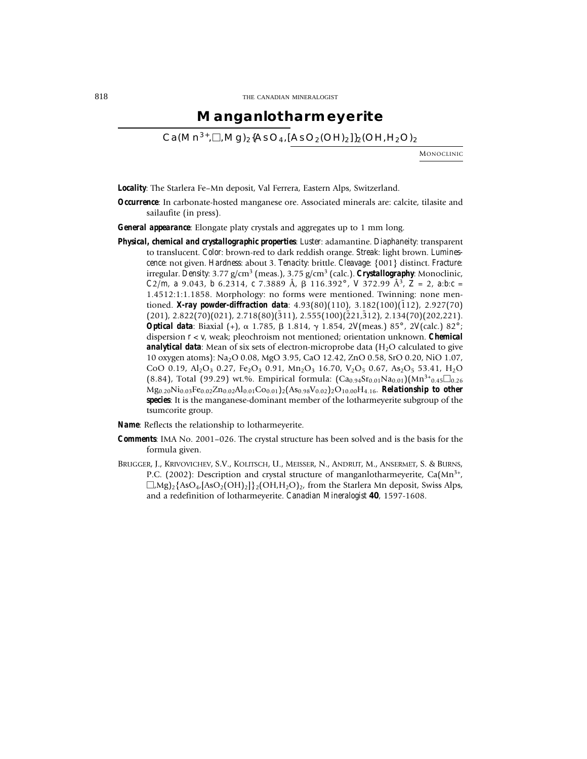### **Manganlotharmeyerite**

 $Ca(Mn^{3+},\Box,mq)_{2}$ {AsO<sub>4</sub>,[AsO<sub>2</sub>(OH)<sub>2</sub>]}<sub>2</sub>(OH,H<sub>2</sub>O)<sub>2</sub>

MONOCLINIC

*Locality*: The Starlera Fe–Mn deposit, Val Ferrera, Eastern Alps, Switzerland.

- *Occurrence*: In carbonate-hosted manganese ore. Associated minerals are: calcite, tilasite and sailaufite (in press).
- *General appearance*: Elongate platy crystals and aggregates up to 1 mm long.
- *Physical, chemical and crystallographic properties*: *Luster*: adamantine. *Diaphaneity*: transparent to translucent. *Color*: brown-red to dark reddish orange. *Streak*: light brown. *Luminescence*: not given. *Hardness*: about 3. *Tenacity*: brittle. *Cleavage*: {001} distinct. *Fracture*: irregular. *Density*: 3.77 g/cm3 (meas.), 3.75 g/cm3 (calc.). *Crystallography*: Monoclinic,  $C2/m$ , *a* 9.043, *b* 6.2314, *c* 7.3889 Å,  $\beta$  116.392°, *V* 372.99 Å<sup>3</sup>,  $Z = 2$ , *a*:*b*:*c* = 1.4512:1:1.1858. Morphology: no forms were mentioned. Twinning: none mentioned. *X-ray powder-diffraction data*: 4.93(80)(110), 3.182(100)(112), 2.927(70)  $(201)$ ,  $2.822(70)(021)$ ,  $2.718(80)(311)$ ,  $2.555(100)(221,312)$ ,  $2.134(70)(202,221)$ . *Optical data*: Biaxial (+),  $\alpha$  1.785,  $\beta$  1.814,  $\gamma$  1.854, 2*V*(meas.) 85°, 2*V*(calc.) 82°; dispersion *r* < *v*, weak; pleochroism not mentioned; orientation unknown. *Chemical analytical data*: Mean of six sets of electron-microprobe data (H<sub>2</sub>O calculated to give 10 oxygen atoms): Na2O 0.08, MgO 3.95, CaO 12.42, ZnO 0.58, SrO 0.20, NiO 1.07, CoO 0.19, Al<sub>2</sub>O<sub>3</sub> 0.27, Fe<sub>2</sub>O<sub>3</sub> 0.91, Mn<sub>2</sub>O<sub>3</sub> 16.70, V<sub>2</sub>O<sub>5</sub> 0.67, As<sub>2</sub>O<sub>5</sub> 53.41, H<sub>2</sub>O (8.84), Total (99.29) wt.%. Empirical formula:  $(Ca_{0.94}Sr_{0.01}Na_{0.01})(Mn^{3+}_{0.45}\square_{0.26}$ Mg0.20Ni0.03Fe0.02Zn0.02Al0.01Co0.01)2(As0.98V0.02)2O10.00H4.16. *Relationship to other species*: It is the manganese-dominant member of the lotharmeyerite subgroup of the tsumcorite group.
- *Name*: Reflects the relationship to lotharmeyerite.
- *Comments*: IMA No. 2001–026. The crystal structure has been solved and is the basis for the formula given.
- BRUGGER, J., KRIVOVICHEV, S.V., KOLITSCH, U., MEISSER, N., ANDRUT, M., ANSERMET, S. & BURNS, P.C. (2002): Description and crystal structure of manganlotharmeyerite,  $Ca(Mn<sup>3+</sup>,$  $\Box$ ,Mg)<sub>2</sub>{AsO<sub>4</sub>,[AsO<sub>2</sub>(OH)<sub>2</sub>}}<sub>2</sub>(OH,H<sub>2</sub>O)<sub>2</sub>, from the Starlera Mn deposit, Swiss Alps, and a redefinition of lotharmeyerite. *Canadian Mineralogist* **40**, 1597-1608.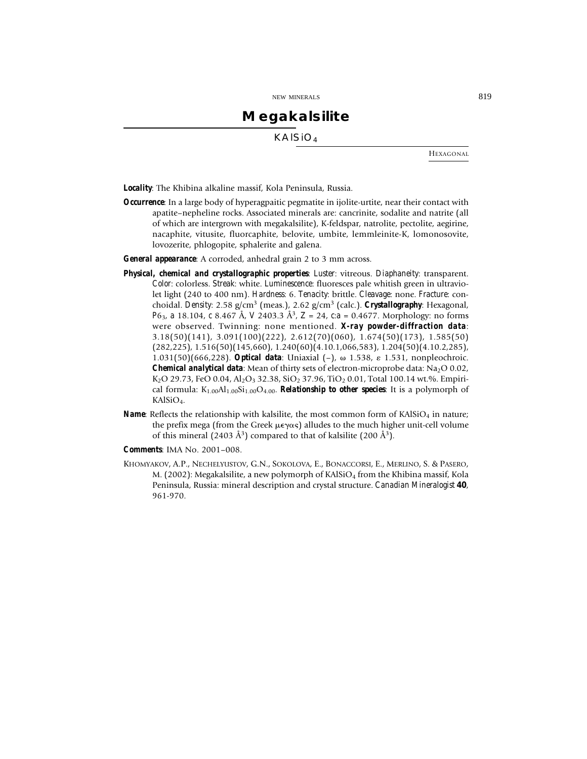## **Megakalsilite**

KAlSiO4

HEXAGONAL

*Locality*: The Khibina alkaline massif, Kola Peninsula, Russia.

*Occurrence*: In a large body of hyperagpaitic pegmatite in ijolite-urtite, near their contact with apatite–nepheline rocks. Associated minerals are: cancrinite, sodalite and natrite (all of which are intergrown with megakalsilite), K-feldspar, natrolite, pectolite, aegirine, nacaphite, vitusite, fluorcaphite, belovite, umbite, lemmleinite-K, lomonosovite, lovozerite, phlogopite, sphalerite and galena.

*General appearance*: A corroded, anhedral grain 2 to 3 mm across.

- *Physical, chemical and crystallographic properties*: *Luster*: vitreous. *Diaphaneity*: transparent. *Color*: colorless. *Streak*: white. *Luminescence*: fluoresces pale whitish green in ultraviolet light (240 to 400 nm). *Hardness*: 6. *Tenacity*: brittle. *Cleavage*: none. *Fracture*: conchoidal. *Density*: 2.58 g/cm3 (meas.), 2.62 g/cm3 (calc.). *Crystallography*: Hexagonal, *P*63, *a* 18.104, *c* 8.467 Å, *V* 2403.3 Å3, *Z* = 24, *c*:*a* = 0.4677. Morphology: no forms were observed. Twinning: none mentioned. *X-ray powder-diffraction data*: 3.18(50)(141), 3.091(100)(222), 2.612(70)(060), 1.674(50)(173), 1.585(50) (282,225), 1.516(50)(145,660), 1.240(60)(4.10.1,066,583), 1.204(50)(4.10.2,285), 1.031(50)(666,228). *Optical data*: Uniaxial (–), 1.538, 1.531, nonpleochroic. **Chemical analytical data:** Mean of thirty sets of electron-microprobe data:  $Na<sub>2</sub>O 0.02$ , K<sub>2</sub>O 29.73, FeO 0.04, Al<sub>2</sub>O<sub>3</sub> 32.38, SiO<sub>2</sub> 37.96, TiO<sub>2</sub> 0.01, Total 100.14 wt.%. Empirical formula:  $K_{1.00}Al_{1.00}Si_{1.00}O_{4.00}$ . **Relationship to other species**: It is a polymorph of KAlSiO<sub>4</sub>.
- *Name*: Reflects the relationship with kalsilite, the most common form of KAlSiO<sub>4</sub> in nature; the prefix mega (from the Greek  $\mu \epsilon \gamma \alpha \varsigma$ ) alludes to the much higher unit-cell volume of this mineral (2403  $\AA$ <sup>3</sup>) compared to that of kalsilite (200  $\AA$ <sup>3</sup>).
- *Comments*: IMA No. 2001–008.
- KHOMYAKOV, A.P., NECHELYUSTOV, G.N., SOKOLOVA, E., BONACCORSI, E., MERLINO, S. & PASERO, M. (2002): Megakalsilite, a new polymorph of KAlSiO<sub>4</sub> from the Khibina massif, Kola Peninsula, Russia: mineral description and crystal structure. *Canadian Mineralogist* **40**, 961-970.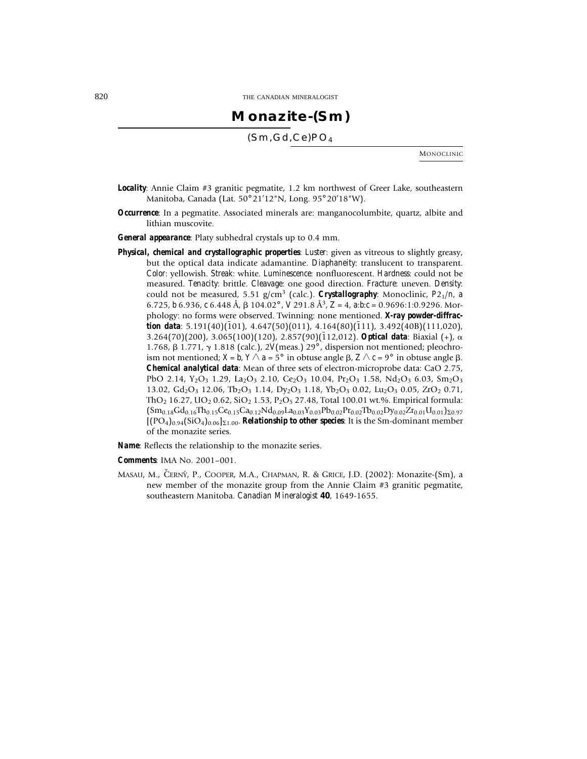## **Monazite-(Sm)**

(Sm,Gd,Ce)PO4

MONOCLINIC

- *Locality*: Annie Claim #3 granitic pegmatite, 1.2 km northwest of Greer Lake, southeastern Manitoba, Canada (Lat. 50° 21'12"N, Long. 95° 20'18"W).
- *Occurrence*: In a pegmatite. Associated minerals are: manganocolumbite, quartz, albite and lithian muscovite.
- *General appearance*: Platy subhedral crystals up to 0.4 mm.
- *Physical, chemical and crystallographic properties*: *Luster*: given as vitreous to slightly greasy, but the optical data indicate adamantine. *Diaphaneity*: translucent to transparent. *Color*: yellowish. *Streak*: white. *Luminescence*: nonfluorescent. *Hardness*: could not be measured. *Tenacity*: brittle. *Cleavage*: one good direction. *Fracture*: uneven. *Density*: could not be measured, 5.51 g/cm3 (calc.). *Crystallography*: Monoclinic, *P*21/*n*, *a* 6.725, *b* 6.936, *c* 6.448 Å, 104.02° , *V* 291.8 Å3, *Z* = 4, *a*:*b*:*c* = 0.9696:1:0.9296. Morphology: no forms were observed. Twinning: none mentioned. *X-ray powder-diffrac***tion data**: 5.191(40)(101), 4.647(50)(011), 4.164(80)(111), 3.492(40B)(111,020), 3.264(70)(200), 3.065(100)(120), 2.857(90)(112,012). **Optical data**: Biaxial (+),  $\alpha$ 1.768, 1.771, 1.818 (calc.), 2*V*(meas.) 29° , dispersion not mentioned; pleochroism not mentioned;  $X = b$ ,  $Y \wedge a = 5^{\circ}$  in obtuse angle  $\beta$ ,  $Z \wedge c = 9^{\circ}$  in obtuse angle  $\beta$ . *Chemical analytical data*: Mean of three sets of electron-microprobe data: CaO 2.75, PbO 2.14, Y<sub>2</sub>O<sub>3</sub> 1.29, La<sub>2</sub>O<sub>3</sub> 2.10, Ce<sub>2</sub>O<sub>3</sub> 10.04, Pr<sub>2</sub>O<sub>3</sub> 1.58, Nd<sub>2</sub>O<sub>3</sub> 6.03, Sm<sub>2</sub>O<sub>3</sub> 13.02, Gd<sub>2</sub>O<sub>3</sub> 12.06, Tb<sub>2</sub>O<sub>3</sub> 1.14, Dy<sub>2</sub>O<sub>3</sub> 1.18, Yb<sub>2</sub>O<sub>3</sub> 0.02, Lu<sub>2</sub>O<sub>3</sub> 0.05, ZrO<sub>2</sub> 0.71, ThO<sub>2</sub> 16.27, UO<sub>2</sub> 0.62, SiO<sub>2</sub> 1.53, P<sub>2</sub>O<sub>5</sub> 27.48, Total 100.01 wt.%. Empirical formula:  $(Sm_{0.18}Gd_{0.16}Th_{0.15}Ce_{0.15}Ca_{0.12}Nd_{0.09}La_{0.03}Y_{0.03}Pb_{0.02}Pr_{0.02}Tb_{0.02}Dy_{0.02}Zr_{0.01}U_{0.01})_{20.97}$  $[(PO_4)_{0.94}(\text{SiO}_4)_{0.06}]_{\Sigma1.00}$ . **Relationship to other species**: It is the Sm-dominant member of the monazite series.

*Name*: Reflects the relationship to the monazite series.

*Comments*: IMA No. 2001–001.

MASAU, M., ČERNÝ, P., COOPER, M.A., CHAPMAN, R. & GRICE, J.D. (2002): Monazite-(Sm), a new member of the monazite group from the Annie Claim #3 granitic pegmatite, southeastern Manitoba. *Canadian Mineralogist* **40**, 1649-1655.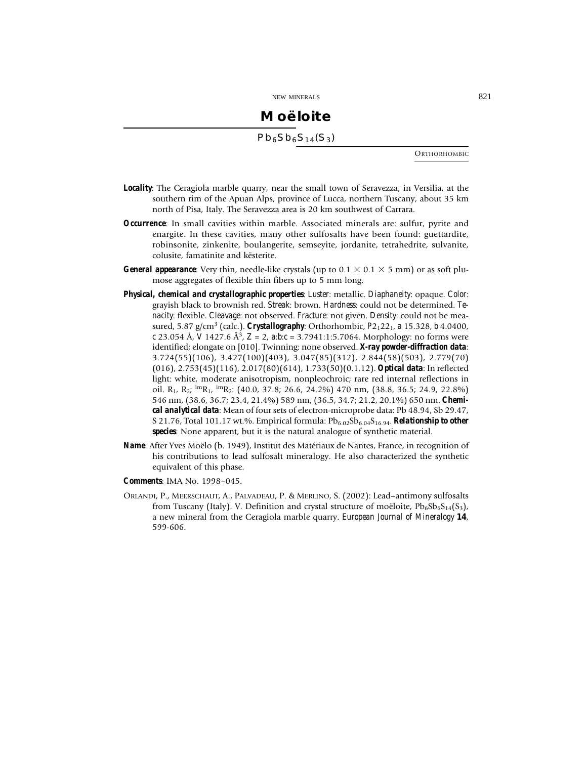## **Moëloite**  $Pb_6Sb_6S_{14}(S_3)$

**ORTHORHOMBIC** 

- *Locality*: The Ceragiola marble quarry, near the small town of Seravezza, in Versilia, at the southern rim of the Apuan Alps, province of Lucca, northern Tuscany, about 35 km north of Pisa, Italy. The Seravezza area is 20 km southwest of Carrara.
- *Occurrence*: In small cavities within marble. Associated minerals are: sulfur, pyrite and enargite. In these cavities, many other sulfosalts have been found: guettardite, robinsonite, zinkenite, boulangerite, semseyite, jordanite, tetrahedrite, sulvanite, colusite, famatinite and kësterite.
- *General appearance*: Very thin, needle-like crystals (up to  $0.1 \times 0.1 \times 5$  mm) or as soft plumose aggregates of flexible thin fibers up to 5 mm long.
- *Physical, chemical and crystallographic properties*: *Luster*: metallic. *Diaphaneity*: opaque. *Color*: grayish black to brownish red. *Streak*: brown. *Hardness*: could not be determined. *Tenacity*: flexible. *Cleavage*: not observed. *Fracture*: not given. *Density*: could not be measured, 5.87 g/cm3 (calc.). *Crystallography*: Orthorhombic, *P*21221, *a* 15.328, *b* 4.0400, *c* 23.054 Å, *V* 1427.6 Å3, *Z* = 2, *a*:*b*:*c* = 3.7941:1:5.7064. Morphology: no forms were identified; elongate on [010]. Twinning: none observed. *X-ray powder-diffraction data*: 3.724(55)(106), 3.427(100)(403), 3.047(85)(312), 2.844(58)(503), 2.779(70) (016), 2.753(45)(116), 2.017(80)(614), 1.733(50)(0.1.12). *Optical data*: In reflected light: white, moderate anisotropism, nonpleochroic; rare red internal reflections in oil. R<sub>1</sub>, R<sub>2</sub>;  $\text{im}_{R_1}$ ,  $\text{im}_{R_2}$ : (40.0, 37.8; 26.6, 24.2%) 470 nm, (38.8, 36.5; 24.9, 22.8%) 546 nm, (38.6, 36.7; 23.4, 21.4%) 589 nm, (36.5, 34.7; 21.2, 20.1%) 650 nm. *Chemical analytical data*: Mean of four sets of electron-microprobe data: Pb 48.94, Sb 29.47, S 21.76, Total 101.17 wt.%. Empirical formula:  $Pb_{6.02}Sb_{6.04}S_{16.94}$ . **Relationship to other** *species*: None apparent, but it is the natural analogue of synthetic material.
- *Name*: After Yves Moëlo (b. 1949), Institut des Matériaux de Nantes, France, in recognition of his contributions to lead sulfosalt mineralogy. He also characterized the synthetic equivalent of this phase.
- *Comments*: IMA No. 1998–045.
- ORLANDI, P., MEERSCHAUT, A., PALVADEAU, P. & MERLINO, S. (2002): Lead–antimony sulfosalts from Tuscany (Italy). V. Definition and crystal structure of moëloite,  $Pb_6Sb_6S_{14}(S_3)$ , a new mineral from the Ceragiola marble quarry. *European Journal of Mineralogy* **14**, 599-606.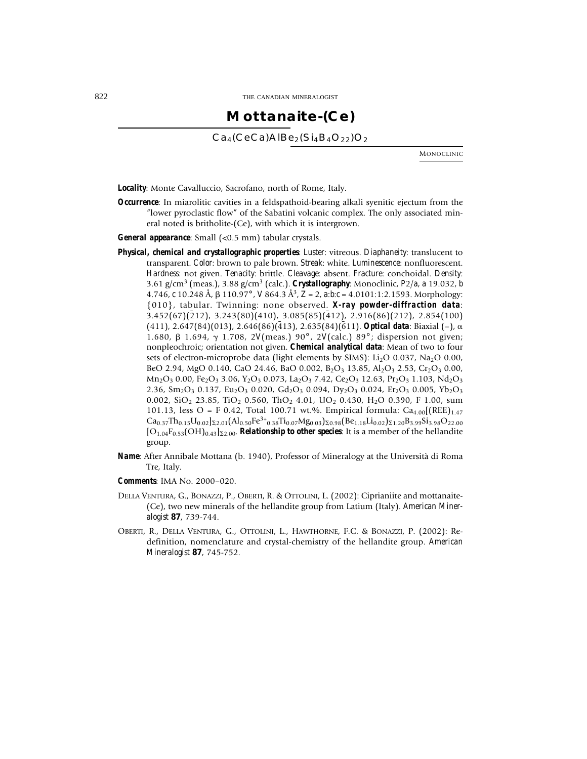### **Mottanaite-(Ce)**

 $Ca_4(CeCa)$ AlBe<sub>2</sub>(Si<sub>4</sub>B<sub>4</sub>O<sub>22</sub>)O<sub>2</sub>

MONOCLINIC

*Locality*: Monte Cavalluccio, Sacrofano, north of Rome, Italy.

- *Occurrence*: In miarolitic cavities in a feldspathoid-bearing alkali syenitic ejectum from the "lower pyroclastic flow" of the Sabatini volcanic complex. The only associated mineral noted is britholite-(Ce), with which it is intergrown.
- *General appearance*: Small (<0.5 mm) tabular crystals.
- *Physical, chemical and crystallographic properties*: *Luster*: vitreous. *Diaphaneity*: translucent to transparent. *Color*: brown to pale brown. *Streak*: white. *Luminescence*: nonfluorescent. *Hardness*: not given. *Tenacity*: brittle. *Cleavage*: absent. *Fracture*: conchoidal. *Density*: 3.61 g/cm3 (meas.), 3.88 g/cm3 (calc.). *Crystallography*: Monoclinic, *P*2/*a*, *a* 19.032, *b* 4.746, *c* 10.248 Å, 110.97° , *V* 864.3 Å3, *Z* = 2, *a*:*b*:*c* = 4.0101:1:2.1593. Morphology: {010}, tabular. Twinning: none observed. *X-ray powder-diffraction data*:  $3.452(67)(\overline{2}12)$ ,  $3.243(80)(410)$ ,  $3.085(85)(\overline{4}12)$ ,  $2.916(86)(212)$ ,  $2.854(100)$ (411), 2.647(84)(013), 2.646(86)(413), 2.635(84)(611). **Optical data**: Biaxial (–),  $\alpha$ 1.680, 1.694, 1.708, 2*V*(meas.) 90° , 2*V*(calc.) 89° ; dispersion not given; nonpleochroic; orientation not given. *Chemical analytical data*: Mean of two to four sets of electron-microprobe data (light elements by SIMS):  $Li<sub>2</sub>O$  0.037, Na<sub>2</sub>O 0.00, BeO 2.94, MgO 0.140, CaO 24.46, BaO 0.002, B<sub>2</sub>O<sub>3</sub> 13.85, Al<sub>2</sub>O<sub>3</sub> 2.53, Cr<sub>2</sub>O<sub>3</sub> 0.00,  $Mn_2O_3$  0.00, Fe<sub>2</sub>O<sub>3</sub> 3.06, Y<sub>2</sub>O<sub>3</sub> 0.073, La<sub>2</sub>O<sub>3</sub> 7.42, Ce<sub>2</sub>O<sub>3</sub> 12.63, Pr<sub>2</sub>O<sub>3</sub> 1.103, Nd<sub>2</sub>O<sub>3</sub> 2.36,  $Sm_2O_3$  0.137, Eu<sub>2</sub>O<sub>3</sub> 0.020, Gd<sub>2</sub>O<sub>3</sub> 0.094, Dy<sub>2</sub>O<sub>3</sub> 0.024, Er<sub>2</sub>O<sub>3</sub> 0.005, Yb<sub>2</sub>O<sub>3</sub> 0.002, SiO<sub>2</sub> 23.85, TiO<sub>2</sub> 0.560, ThO<sub>2</sub> 4.01, UO<sub>2</sub> 0.430, H<sub>2</sub>O 0.390, F 1.00, sum 101.13, less  $O = F 0.42$ , Total 100.71 wt.%. Empirical formula: Ca<sub>4.00</sub> (REE)<sub>1.47</sub>  $Ca_{0.37}Th_{0.15}U_{0.02}$ <sub>22.01</sub> $(Al_{0.50}Fe^{3+}{}_{0.38}Ti_{0.07}Mg_{0.03})$ <sub>20.98</sub> $(Be_{1.18}Li_{0.02})$ <sub>21.20</sub> $B_{3.99}Si_{3.98}O_{22.00}$  $[O_{1.04}F_{0.53}(OH)_{0.43}]_{\Sigma2.00}$ . **Relationship to other species**: It is a member of the hellandite group.
- *Name*: After Annibale Mottana (b. 1940), Professor of Mineralogy at the Università di Roma Tre, Italy.
- *Comments*: IMA No. 2000–020.
- DELLA VENTURA, G., BONAZZI, P., OBERTI, R. & OTTOLINI, L. (2002): Ciprianiite and mottanaite- (Ce), two new minerals of the hellandite group from Latium (Italy). *American Mineralogist* **87**, 739-744.
- OBERTI, R., DELLA VENTURA, G., OTTOLINI, L., HAWTHORNE, F.C. & BONAZZI, P. (2002): Redefinition, nomenclature and crystal-chemistry of the hellandite group. *American Mineralogist* **87**, 745-752.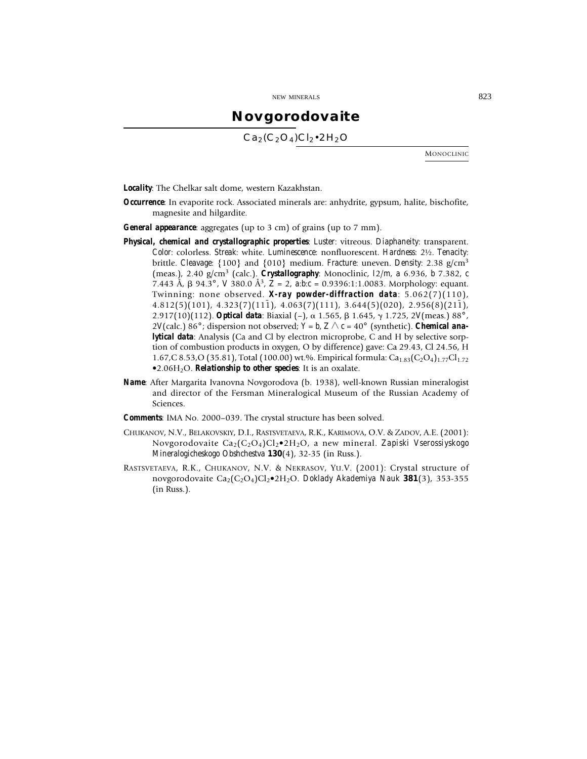### **Novgorodovaite**

 $Ca_2(C_2O_4)Cl_2 \cdot 2H_2O$ 

MONOCLINIC

*Locality*: The Chelkar salt dome, western Kazakhstan.

- *Occurrence*: In evaporite rock. Associated minerals are: anhydrite, gypsum, halite, bischofite, magnesite and hilgardite.
- *General appearance*: aggregates (up to 3 cm) of grains (up to 7 mm).
- *Physical, chemical and crystallographic properties*: *Luster*: vitreous. *Diaphaneity*: transparent. *Color*: colorless. *Streak*: white. *Luminescence*: nonfluorescent. *Hardness*: 2½. *Tenacity*: brittle. *Cleavage*: {100} and {010} medium. *Fracture*: uneven. *Density*: 2.38 g/cm<sup>3</sup> (meas.), 2.40 g/cm3 (calc.). *Crystallography*: Monoclinic, *I*2/*m*, *a* 6.936, *b* 7.382, *c* 7.443 Å,  $\beta$  94.3°, *V* 380.0 Å<sup>3</sup>,  $Z = 2$ ,  $a:b:c = 0.9396:1:1.0083$ . Morphology: equant. Twinning: none observed. *X-ray powder-diffraction data*: 5.062(7)(110),  $4.812(5)(101)$ ,  $4.323(7)(11\bar{1})$ ,  $4.063(7)(111)$ ,  $3.644(5)(020)$ ,  $2.956(8)(21\bar{1})$ , 2.917(10)(112). *Optical data*: Biaxial (-),  $\alpha$  1.565,  $\beta$  1.645,  $\gamma$  1.725, 2*V*(meas.) 88°, 2*V*(calc.) 86°; dispersion not observed;  $Y = b$ ,  $Z \wedge c = 40^\circ$  (synthetic). *Chemical analytical data*: Analysis (Ca and Cl by electron microprobe, C and H by selective sorption of combustion products in oxygen, O by difference) gave: Ca 29.43, Cl 24.56, H 1.67,C 8.53,O (35.81), Total (100.00) wt.%. Empirical formula:  $Ca<sub>1.83</sub>(C<sub>2</sub>O<sub>4</sub>)<sub>1.77</sub>Cl<sub>1.72</sub>$  $\bullet$ 2.06H<sub>2</sub>O. **Relationship to other species**: It is an oxalate.
- *Name*: After Margarita Ivanovna Novgorodova (b. 1938), well-known Russian mineralogist and director of the Fersman Mineralogical Museum of the Russian Academy of Sciences.
- *Comments*: IMA No. 2000–039. The crystal structure has been solved.
- CHUKANOV, N.V., BELAKOVSKIY, D.I., RASTSVETAEVA, R.K., KARIMOVA, O.V. & ZADOV, A.E. (2001): Novgorodovaite Ca2(C2O4)Cl2•2H2O, a new mineral. *Zapiski Vserossiyskogo Mineralogicheskogo Obshchestva* **130**(4), 32-35 (in Russ.).
- RASTSVETAEVA, R.K., CHUKANOV, N.V. & NEKRASOV, YU.V. (2001): Crystal structure of novgorodovaite Ca2(C2O4)Cl2•2H2O. *Doklady Akademiya Nauk* **381**(3), 353-355 (in Russ.).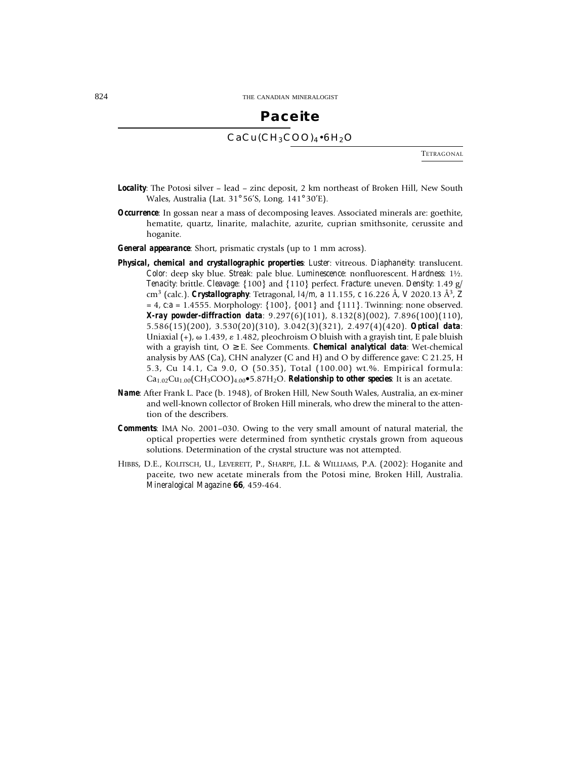### **Paceite**

### $CaCu(CH_3COO)_4\cdot 6H_2O$

TETRAGONAL

- *Locality*: The Potosi silver lead zinc deposit, 2 km northeast of Broken Hill, New South Wales, Australia (Lat. 31° 56'S, Long. 141° 30'E).
- *Occurrence*: In gossan near a mass of decomposing leaves. Associated minerals are: goethite, hematite, quartz, linarite, malachite, azurite, cuprian smithsonite, cerussite and hoganite.

*General appearance*: Short, prismatic crystals (up to 1 mm across).

- *Physical, chemical and crystallographic properties*: *Luster*: vitreous. *Diaphaneity*: translucent. *Color*: deep sky blue. *Streak*: pale blue. *Luminescence*: nonfluorescent. *Hardness*: 1½. *Tenacity*: brittle. *Cleavage*: {100} and {110} perfect. *Fracture*: uneven. *Density*: 1.49 g/ cm3 (calc.). *Crystallography*: Tetragonal, *I*4/*m*, *a* 11.155, *c* 16.226 Å, *V* 2020.13 Å3, *Z* = 4, *c*:*a* = 1.4555. Morphology: {100}, {001} and {111}. Twinning: none observed. *X-ray powder-diffraction data*: 9.297(6)(101), 8.132(8)(002), 7.896(100)(110), 5.586(15)(200), 3.530(20)(310), 3.042(3)(321), 2.497(4)(420). *Optical data*: Uniaxial  $(+)$ ,  $\omega$  1.439,  $\varepsilon$  1.482, pleochroism O bluish with a grayish tint, E pale bluish with a grayish tint,  $O \geq E$ . See Comments. *Chemical analytical data*: Wet-chemical analysis by AAS (Ca), CHN analyzer (C and H) and O by difference gave: C 21.25, H 5.3, Cu 14.1, Ca 9.0, O (50.35), Total (100.00) wt.%. Empirical formula:  $Ca_{1.02}Cu_{1.00}(CH_3COO)_{4.00}$  $\bullet$ 5.87H<sub>2</sub>O. *Relationship to other species*: It is an acetate.
- *Name*: After Frank L. Pace (b. 1948), of Broken Hill, New South Wales, Australia, an ex-miner and well-known collector of Broken Hill minerals, who drew the mineral to the attention of the describers.
- *Comments*: IMA No. 2001–030. Owing to the very small amount of natural material, the optical properties were determined from synthetic crystals grown from aqueous solutions. Determination of the crystal structure was not attempted.
- HIBBS, D.E., KOLITSCH, U., LEVERETT, P., SHARPE, J.L. & WILLIAMS, P.A. (2002): Hoganite and paceite, two new acetate minerals from the Potosi mine, Broken Hill, Australia. *Mineralogical Magazine* **66**, 459-464.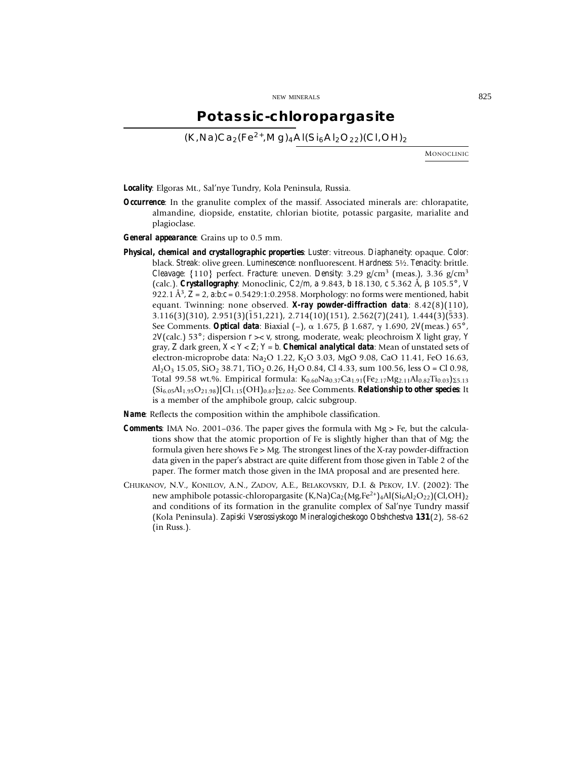### **Potassic-chloropargasite**

 $(K,Na)Ca<sub>2</sub>(Fe<sup>2+</sup>,Ma)<sub>4</sub>Al(Si<sub>6</sub>Al<sub>2</sub>O<sub>22</sub>)(Cl,OH)<sub>2</sub>$ 

MONOCLINIC

*Locality*: Elgoras Mt., Sal'nye Tundry, Kola Peninsula, Russia.

- *Occurrence*: In the granulite complex of the massif. Associated minerals are: chlorapatite, almandine, diopside, enstatite, chlorian biotite, potassic pargasite, marialite and plagioclase.
- *General appearance*: Grains up to 0.5 mm.
- *Physical, chemical and crystallographic properties*: *Luster*: vitreous. *Diaphaneity*: opaque. *Color*: black. *Streak*: olive green. *Luminescence*: nonfluorescent. *Hardness*: 5½. *Tenacity*: brittle. *Cleavage*: {110} perfect. *Fracture*: uneven. *Density*: 3.29 g/cm3 (meas.), 3.36 g/cm3 (calc.). *Crystallography*: Monoclinic, *C*2/*m*, *a* 9.843, *b* 18.130, *c* 5.362 Å, 105.5° , *V* 922.1 Å3, *Z* = 2, *a*:*b*:*c* = 0.5429:1:0.2958. Morphology: no forms were mentioned, habit equant. Twinning: none observed. *X-ray powder-diffraction data*: 8.42(8)(110),  $3.116(3)(310)$ ,  $2.951(3)(151,221)$ ,  $2.714(10)(151)$ ,  $2.562(7)(241)$ ,  $1.444(3)(533)$ . See Comments. *Optical data*: Biaxial (–), 1.675, 1.687, 1.690, 2*V*(meas.) 65° , 2*V*(calc.) 53° ; dispersion *r* >< *v*, strong, moderate, weak; pleochroism *X* light gray, *Y* gray, *Z* dark green, *X* < *Y* < *Z*; *Y* = *b*. *Chemical analytical data*: Mean of unstated sets of electron-microprobe data: Na<sub>2</sub>O 1.22, K<sub>2</sub>O 3.03, MgO 9.08, CaO 11.41, FeO 16.63,  $A<sub>1</sub>Q<sub>3</sub>$  15.05, SiO<sub>2</sub> 38.71, TiO<sub>2</sub> 0.26, H<sub>2</sub>O 0.84, Cl 4.33, sum 100.56, less O = Cl 0.98, Total 99.58 wt.%. Empirical formula:  $K_{0.60}Na_{0.37}Ca_{1.91} (Fe_{2.17}Mg_{2.11}Al_{0.82}Ti_{0.03})_{\Sigma 5.13}$  $(Si_{6.05}Al_{1.95}O_{21.98})$ [Cl<sub>1.15</sub>(OH)<sub>0.87</sub>]<sub>82.02</sub>. See Comments. *Relationship to other species*: It is a member of the amphibole group, calcic subgroup.

*Name*: Reflects the composition within the amphibole classification.

- *Comments*: IMA No. 2001–036. The paper gives the formula with Mg > Fe, but the calculations show that the atomic proportion of Fe is slightly higher than that of Mg; the formula given here shows  $Fe > Mg$ . The strongest lines of the X-ray powder-diffraction data given in the paper's abstract are quite different from those given in Table 2 of the paper. The former match those given in the IMA proposal and are presented here.
- CHUKANOV, N.V., KONILOV, A.N., ZADOV, A.E., BELAKOVSKIY, D.I. & PEKOV, I.V. (2002): The new amphibole potassic-chloropargasite  $(K,Na)Ca<sub>2</sub>(Mg,Fe<sup>2+</sup>)<sub>4</sub>Al(Si<sub>6</sub>Al<sub>2</sub>O<sub>22</sub>)(Cl,OH)<sub>2</sub>$ and conditions of its formation in the granulite complex of Sal'nye Tundry massif (Kola Peninsula). *Zapiski Vserossiyskogo Mineralogicheskogo Obshchestva* **131**(2), 58-62 (in Russ.).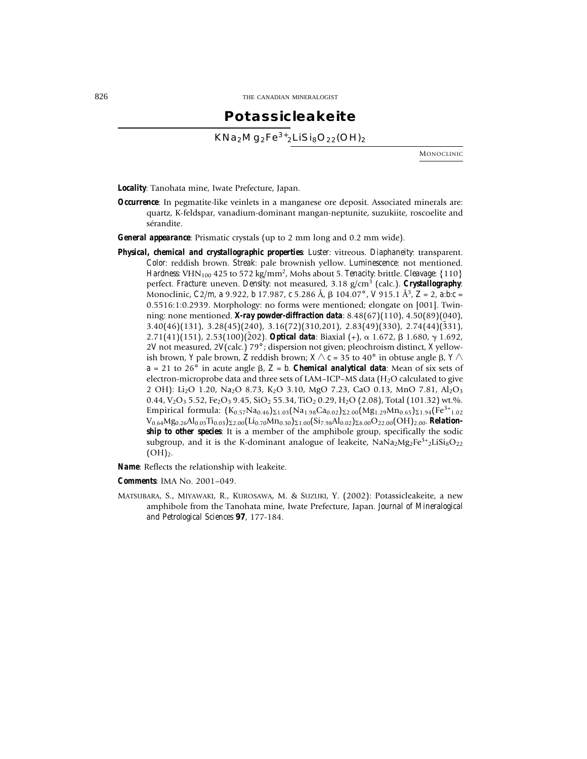### **Potassicleakeite**

 $KNa_2Mg_2Fe^{3+}{}_2LiSi_8O_{22}(OH)_2$ 

MONOCLINIC

*Locality*: Tanohata mine, Iwate Prefecture, Japan.

*Occurrence*: In pegmatite-like veinlets in a manganese ore deposit. Associated minerals are: quartz, K-feldspar, vanadium-dominant mangan-neptunite, suzukiite, roscoelite and sérandite.

*General appearance*: Prismatic crystals (up to 2 mm long and 0.2 mm wide).

*Physical, chemical and crystallographic properties*: *Luster*: vitreous. *Diaphaneity*: transparent. *Color*: reddish brown. *Streak*: pale brownish yellow. *Luminescence*: not mentioned. *Hardness*: VHN<sub>100</sub> 425 to 572 kg/mm<sup>2</sup>, Mohs about 5. *Tenacity*: brittle. *Cleavage*: {110} perfect. *Fracture*: uneven. *Density*: not measured, 3.18 g/cm3 (calc.). *Crystallography*: Monoclinic, *C*2/*m*, *a* 9.922, *b* 17.987, *c* 5.286 Å, 104.07° , *V* 915.1 Å3, *Z* = 2, *a*:*b*:*c* = 0.5516:1:0.2939. Morphology: no forms were mentioned; elongate on [001]. Twinning: none mentioned. *X-ray powder-diffraction data*: 8.48(67)(110), 4.50(89)(040),  $3.40(46)(131)$ ,  $3.28(45)(240)$ ,  $3.16(72)(310,201)$ ,  $2.83(49)(330)$ ,  $2.74(44)(331)$ , 2.71(41)(151), 2.53(100)(202). **Optical data**: Biaxial (+),  $\alpha$  1.672,  $\beta$  1.680,  $\gamma$  1.692, 2*V* not measured, 2*V*(calc.) 79° ; dispersion not given; pleochroism distinct, *X* yellowish brown, *Y* pale brown, *Z* reddish brown;  $X \wedge c = 35$  to 40° in obtuse angle  $\beta$ ,  $Y \wedge c$  $a = 21$  to 26° in acute angle  $\beta$ ,  $Z = b$ . *Chemical analytical data*: Mean of six sets of electron-microprobe data and three sets of LAM–ICP–MS data (H<sub>2</sub>O calculated to give 2 OH): Li<sub>2</sub>O 1.20, Na<sub>2</sub>O 8.73, K<sub>2</sub>O 3.10, MgO 7.23, CaO 0.13, MnO 7.81, Al<sub>2</sub>O<sub>3</sub> 0.44,  $V_2O_3$  5.52, Fe<sub>2</sub>O<sub>3</sub> 9.45, SiO<sub>2</sub> 55.34, TiO<sub>2</sub> 0.29, H<sub>2</sub>O (2.08), Total (101.32) wt.%. Empirical formula:  $(K_{0.57}Na_{0.46})_{21.03}(Na_{1.98}Ca_{0.02})_{22.00}(Mg_{1.29}Mn_{0.65})_{21.94}(Fe^{3+}_{1.02})$ V0.64Mg0.26Al0.05Ti0.03)2.00(Li0.70Mn0.30)1.00(Si7.98Al0.02)8.00O22.00(OH)2.00. *Relationship to other species*: It is a member of the amphibole group, specifically the sodic subgroup, and it is the K-dominant analogue of leakeite,  $NaNa_2Mg_2Fe^{3+}2LiSi_8O_{22}$  $(OH)_{2}.$ 

*Name*: Reflects the relationship with leakeite.

*Comments*: IMA No. 2001–049.

MATSUBARA, S., MIYAWAKI, R., KUROSAWA, M. & SUZUKI, Y. (2002): Potassicleakeite, a new amphibole from the Tanohata mine, Iwate Prefecture, Japan. *Journal of Mineralogical and Petrological Sciences* **97**, 177-184.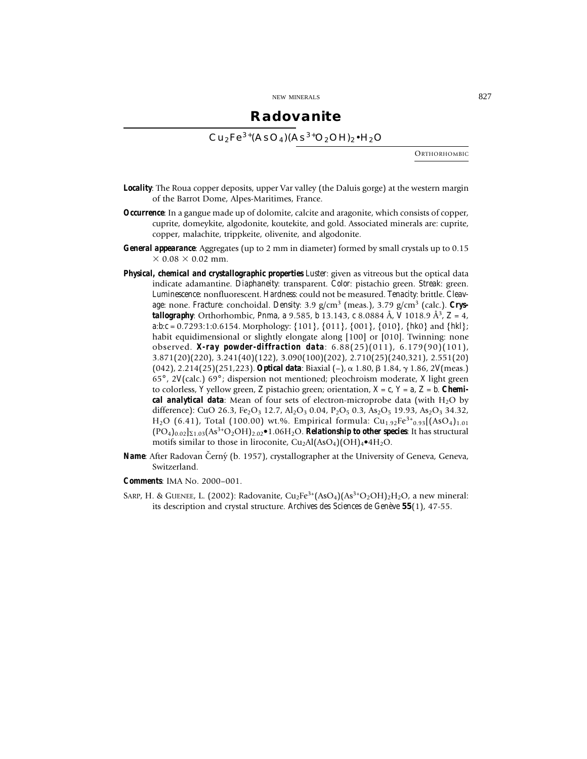### **Radovanite**

 $Cu<sub>2</sub>Fe<sup>3+</sup>(AsO<sub>4</sub>)(As<sup>3+</sup>O<sub>2</sub>OH)<sub>2</sub>•H<sub>2</sub>O$ 

**ORTHORHOMBIC** 

- *Locality*: The Roua copper deposits, upper Var valley (the Daluis gorge) at the western margin of the Barrot Dome, Alpes-Maritimes, France.
- *Occurrence*: In a gangue made up of dolomite, calcite and aragonite, which consists of copper, cuprite, domeykite, algodonite, koutekite, and gold. Associated minerals are: cuprite, copper, malachite, trippkeite, olivenite, and algodonite.
- *General appearance*: Aggregates (up to 2 mm in diameter) formed by small crystals up to 0.15  $\times$  0.08  $\times$  0.02 mm.
- *Physical, chemical and crystallographic properties Luster*: given as vitreous but the optical data indicate adamantine. *Diaphaneity*: transparent. *Color*: pistachio green. *Streak*: green. *Luminescence*: nonfluorescent. *Hardness*: could not be measured. *Tenacity*: brittle. *Cleav*age: none. *Fracture*: conchoidal. *Density*: 3.9 g/cm<sup>3</sup> (meas.), 3.79 g/cm<sup>3</sup> (calc.). *Crystallography*: Orthorhombic, *Pnma*, *a* 9.585, *b* 13.143, *c* 8.0884 Å, *V* 1018.9 Å3, *Z* = 4, *a*:*b*:*c* = 0.7293:1:0.6154. Morphology: {101}, {011}, {001}, {010}, {*hk*0} and {*hkl*}; habit equidimensional or slightly elongate along [100] or [010]. Twinning: none observed. *X-ray powder-diffraction data*: 6.88(25)(011), 6.179(90)(101), 3.871(20)(220), 3.241(40)(122), 3.090(100)(202), 2.710(25)(240,321), 2.551(20) (042), 2.214(25)(251,223). *Optical data*: Biaxial (–), 1.80, 1.84, 1.86, 2*V*(meas.) 65° , 2*V*(calc.) 69° ; dispersion not mentioned; pleochroism moderate, *X* light green to colorless, *Y* yellow green, *Z* pistachio green; orientation, *X* = *c*, *Y* = *a*, *Z* = *b*. *Chemical analytical data*: Mean of four sets of electron-microprobe data (with  $H_2O$  by difference): CuO 26.3, Fe<sub>2</sub>O<sub>3</sub> 12.7, Al<sub>2</sub>O<sub>3</sub> 0.04, P<sub>2</sub>O<sub>5</sub> 0.3, As<sub>2</sub>O<sub>5</sub> 19.93, As<sub>2</sub>O<sub>3</sub> 34.32, H<sub>2</sub>O (6.41), Total (100.00) wt.%. Empirical formula: Cu<sub>1.92</sub>Fe<sup>3+</sup><sub>0.93</sub>[(AsO<sub>4</sub>)<sub>1.01</sub>  $(PO_4)_{0.02}$ <sub>2.03</sub> $(As<sup>3+</sup>O<sub>2</sub>OH)<sub>2.02</sub>$ •1.06H<sub>2</sub>O. *Relationship to other species*: It has structural motifs similar to those in liroconite,  $Cu<sub>2</sub>Al(AsO<sub>4</sub>)(OH)<sub>4</sub>•4H<sub>2</sub>O$ .
- *Name*: After Radovan Černý (b. 1957), crystallographer at the University of Geneva, Geneva, Switzerland.
- *Comments*: IMA No. 2000–001.
- SARP, H. & GUENEE, L. (2002): Radovanite,  $Cu_2Fe^{3+}(AsO_4)(As^{3+}O_2OH)$ <sub>2</sub>H<sub>2</sub>O, a new mineral: its description and crystal structure. *Archives des Sciences de Genève* **55**(1), 47-55.